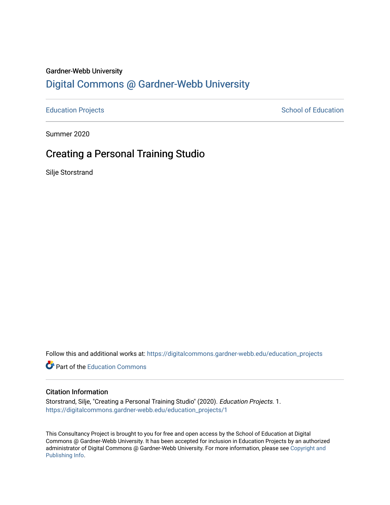### Gardner-Webb University

## [Digital Commons @ Gardner-Webb University](https://digitalcommons.gardner-webb.edu/)

[Education Projects](https://digitalcommons.gardner-webb.edu/education_projects) **School of Education** School of Education

Summer 2020

## Creating a Personal Training Studio

Silje Storstrand

Follow this and additional works at: [https://digitalcommons.gardner-webb.edu/education\\_projects](https://digitalcommons.gardner-webb.edu/education_projects?utm_source=digitalcommons.gardner-webb.edu%2Feducation_projects%2F1&utm_medium=PDF&utm_campaign=PDFCoverPages) 

**C** Part of the [Education Commons](http://network.bepress.com/hgg/discipline/784?utm_source=digitalcommons.gardner-webb.edu%2Feducation_projects%2F1&utm_medium=PDF&utm_campaign=PDFCoverPages)

#### Citation Information

Storstrand, Silje, "Creating a Personal Training Studio" (2020). Education Projects. 1. [https://digitalcommons.gardner-webb.edu/education\\_projects/1](https://digitalcommons.gardner-webb.edu/education_projects/1?utm_source=digitalcommons.gardner-webb.edu%2Feducation_projects%2F1&utm_medium=PDF&utm_campaign=PDFCoverPages)

This Consultancy Project is brought to you for free and open access by the School of Education at Digital Commons @ Gardner-Webb University. It has been accepted for inclusion in Education Projects by an authorized administrator of Digital Commons @ Gardner-Webb University. For more information, please see [Copyright and](https://digitalcommons.gardner-webb.edu/copyright_publishing.html)  [Publishing Info.](https://digitalcommons.gardner-webb.edu/copyright_publishing.html)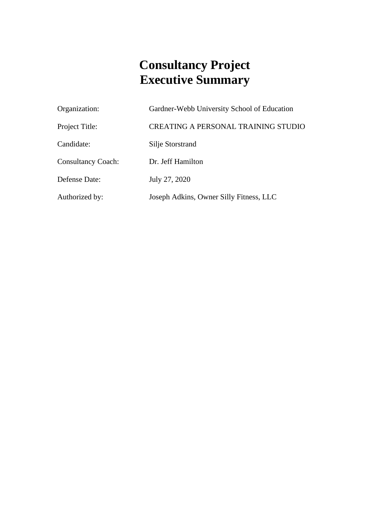# **Consultancy Project Executive Summary**

| Organization:             | Gardner-Webb University School of Education |
|---------------------------|---------------------------------------------|
| Project Title:            | <b>CREATING A PERSONAL TRAINING STUDIO</b>  |
| Candidate:                | Silje Storstrand                            |
| <b>Consultancy Coach:</b> | Dr. Jeff Hamilton                           |
| Defense Date:             | July 27, 2020                               |
| Authorized by:            | Joseph Adkins, Owner Silly Fitness, LLC     |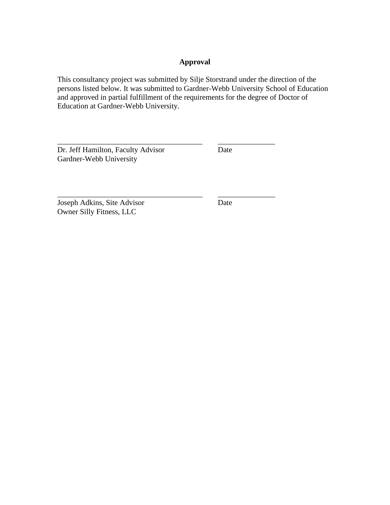## **Approval**

This consultancy project was submitted by Silje Storstrand under the direction of the persons listed below. It was submitted to Gardner-Webb University School of Education and approved in partial fulfillment of the requirements for the degree of Doctor of Education at Gardner-Webb University.

\_\_\_\_\_\_\_\_\_\_\_\_\_\_\_\_\_\_\_\_\_\_\_\_\_\_\_\_\_\_\_\_\_\_\_\_\_\_ \_\_\_\_\_\_\_\_\_\_\_\_\_\_\_

Dr. Jeff Hamilton, Faculty Advisor Date Gardner-Webb University

Joseph Adkins, Site Advisor Date Owner Silly Fitness, LLC

\_\_\_\_\_\_\_\_\_\_\_\_\_\_\_\_\_\_\_\_\_\_\_\_\_\_\_\_\_\_\_\_\_\_\_\_\_\_ \_\_\_\_\_\_\_\_\_\_\_\_\_\_\_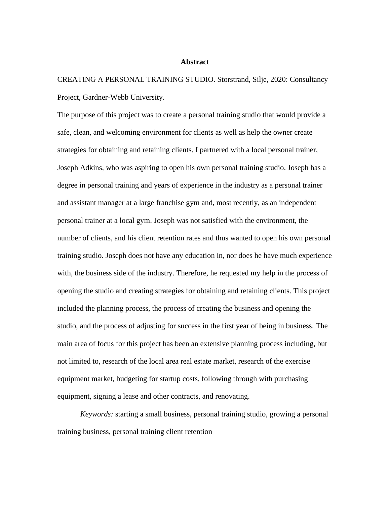#### **Abstract**

CREATING A PERSONAL TRAINING STUDIO. Storstrand, Silje, 2020: Consultancy Project, Gardner-Webb University.

The purpose of this project was to create a personal training studio that would provide a safe, clean, and welcoming environment for clients as well as help the owner create strategies for obtaining and retaining clients. I partnered with a local personal trainer, Joseph Adkins, who was aspiring to open his own personal training studio. Joseph has a degree in personal training and years of experience in the industry as a personal trainer and assistant manager at a large franchise gym and, most recently, as an independent personal trainer at a local gym. Joseph was not satisfied with the environment, the number of clients, and his client retention rates and thus wanted to open his own personal training studio. Joseph does not have any education in, nor does he have much experience with, the business side of the industry. Therefore, he requested my help in the process of opening the studio and creating strategies for obtaining and retaining clients. This project included the planning process, the process of creating the business and opening the studio, and the process of adjusting for success in the first year of being in business. The main area of focus for this project has been an extensive planning process including, but not limited to, research of the local area real estate market, research of the exercise equipment market, budgeting for startup costs, following through with purchasing equipment, signing a lease and other contracts, and renovating.

*Keywords:* starting a small business, personal training studio, growing a personal training business, personal training client retention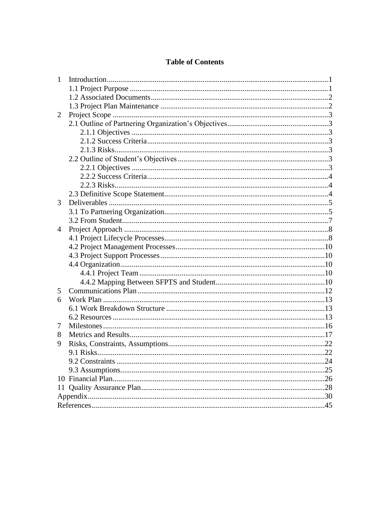## **Table of Contents**

| 1 |  |
|---|--|
|   |  |
|   |  |
|   |  |
| 2 |  |
|   |  |
|   |  |
|   |  |
|   |  |
|   |  |
|   |  |
|   |  |
|   |  |
|   |  |
| 3 |  |
|   |  |
|   |  |
| 4 |  |
|   |  |
|   |  |
|   |  |
|   |  |
|   |  |
|   |  |
| 5 |  |
| 6 |  |
|   |  |
|   |  |
| 7 |  |
| 8 |  |
| 9 |  |
|   |  |
|   |  |
|   |  |
|   |  |
|   |  |
|   |  |
|   |  |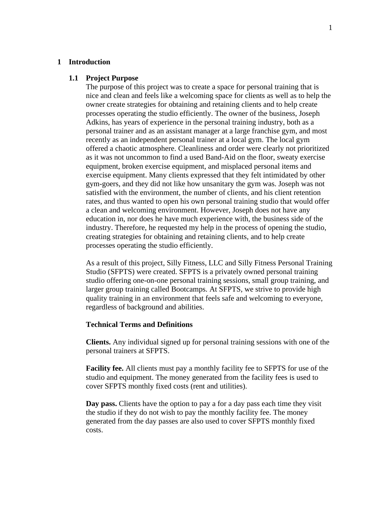#### **1 Introduction**

#### **1.1 Project Purpose**

The purpose of this project was to create a space for personal training that is nice and clean and feels like a welcoming space for clients as well as to help the owner create strategies for obtaining and retaining clients and to help create processes operating the studio efficiently. The owner of the business, Joseph Adkins, has years of experience in the personal training industry, both as a personal trainer and as an assistant manager at a large franchise gym, and most recently as an independent personal trainer at a local gym. The local gym offered a chaotic atmosphere. Cleanliness and order were clearly not prioritized as it was not uncommon to find a used Band-Aid on the floor, sweaty exercise equipment, broken exercise equipment, and misplaced personal items and exercise equipment. Many clients expressed that they felt intimidated by other gym-goers, and they did not like how unsanitary the gym was. Joseph was not satisfied with the environment, the number of clients, and his client retention rates, and thus wanted to open his own personal training studio that would offer a clean and welcoming environment. However, Joseph does not have any education in, nor does he have much experience with, the business side of the industry. Therefore, he requested my help in the process of opening the studio, creating strategies for obtaining and retaining clients, and to help create processes operating the studio efficiently.

As a result of this project, Silly Fitness, LLC and Silly Fitness Personal Training Studio (SFPTS) were created. SFPTS is a privately owned personal training studio offering one-on-one personal training sessions, small group training, and larger group training called Bootcamps. At SFPTS, we strive to provide high quality training in an environment that feels safe and welcoming to everyone, regardless of background and abilities.

#### **Technical Terms and Definitions**

**Clients.** Any individual signed up for personal training sessions with one of the personal trainers at SFPTS.

**Facility fee.** All clients must pay a monthly facility fee to SFPTS for use of the studio and equipment. The money generated from the facility fees is used to cover SFPTS monthly fixed costs (rent and utilities).

**Day pass.** Clients have the option to pay a for a day pass each time they visit the studio if they do not wish to pay the monthly facility fee. The money generated from the day passes are also used to cover SFPTS monthly fixed costs.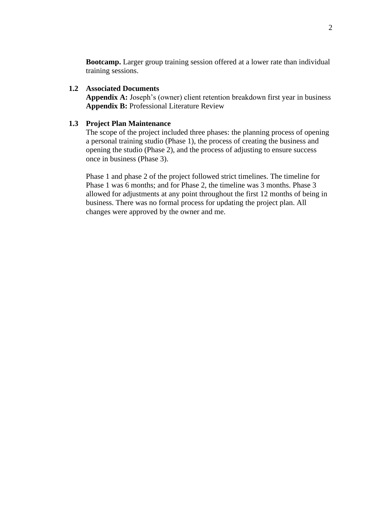**Bootcamp.** Larger group training session offered at a lower rate than individual training sessions.

## **1.2 Associated Documents**

**Appendix A:** Joseph's (owner) client retention breakdown first year in business **Appendix B:** Professional Literature Review

## **1.3 Project Plan Maintenance**

The scope of the project included three phases: the planning process of opening a personal training studio (Phase 1), the process of creating the business and opening the studio (Phase 2), and the process of adjusting to ensure success once in business (Phase 3).

Phase 1 and phase 2 of the project followed strict timelines. The timeline for Phase 1 was 6 months; and for Phase 2, the timeline was 3 months. Phase 3 allowed for adjustments at any point throughout the first 12 months of being in business. There was no formal process for updating the project plan. All changes were approved by the owner and me.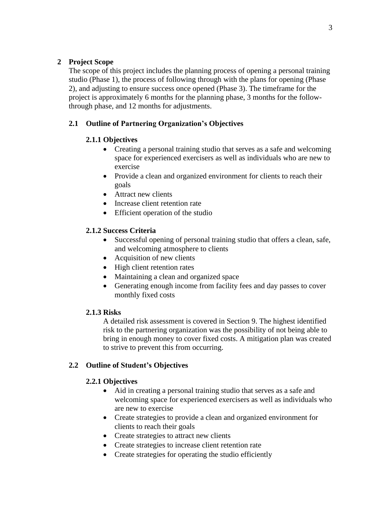## **2 Project Scope**

The scope of this project includes the planning process of opening a personal training studio (Phase 1), the process of following through with the plans for opening (Phase 2), and adjusting to ensure success once opened (Phase 3). The timeframe for the project is approximately 6 months for the planning phase, 3 months for the followthrough phase, and 12 months for adjustments.

## **2.1 Outline of Partnering Organization's Objectives**

## **2.1.1 Objectives**

- Creating a personal training studio that serves as a safe and welcoming space for experienced exercisers as well as individuals who are new to exercise
- Provide a clean and organized environment for clients to reach their goals
- Attract new clients
- Increase client retention rate
- Efficient operation of the studio

## **2.1.2 Success Criteria**

- Successful opening of personal training studio that offers a clean, safe, and welcoming atmosphere to clients
- Acquisition of new clients
- High client retention rates
- Maintaining a clean and organized space
- Generating enough income from facility fees and day passes to cover monthly fixed costs

## **2.1.3 Risks**

A detailed risk assessment is covered in Section 9. The highest identified risk to the partnering organization was the possibility of not being able to bring in enough money to cover fixed costs. A mitigation plan was created to strive to prevent this from occurring.

## **2.2 Outline of Student's Objectives**

## **2.2.1 Objectives**

- Aid in creating a personal training studio that serves as a safe and welcoming space for experienced exercisers as well as individuals who are new to exercise
- Create strategies to provide a clean and organized environment for clients to reach their goals
- Create strategies to attract new clients
- Create strategies to increase client retention rate
- Create strategies for operating the studio efficiently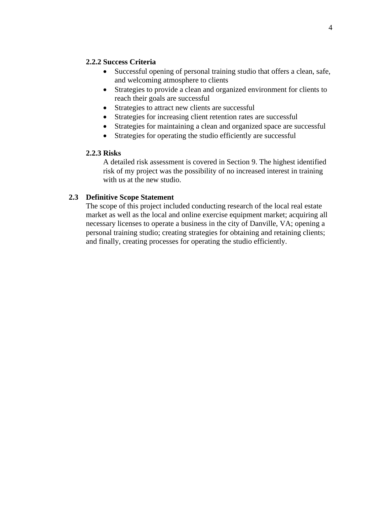## **2.2.2 Success Criteria**

- Successful opening of personal training studio that offers a clean, safe, and welcoming atmosphere to clients
- Strategies to provide a clean and organized environment for clients to reach their goals are successful
- Strategies to attract new clients are successful
- Strategies for increasing client retention rates are successful
- Strategies for maintaining a clean and organized space are successful
- Strategies for operating the studio efficiently are successful

## **2.2.3 Risks**

A detailed risk assessment is covered in Section 9. The highest identified risk of my project was the possibility of no increased interest in training with us at the new studio.

## **2.3 Definitive Scope Statement**

The scope of this project included conducting research of the local real estate market as well as the local and online exercise equipment market; acquiring all necessary licenses to operate a business in the city of Danville, VA; opening a personal training studio; creating strategies for obtaining and retaining clients; and finally, creating processes for operating the studio efficiently.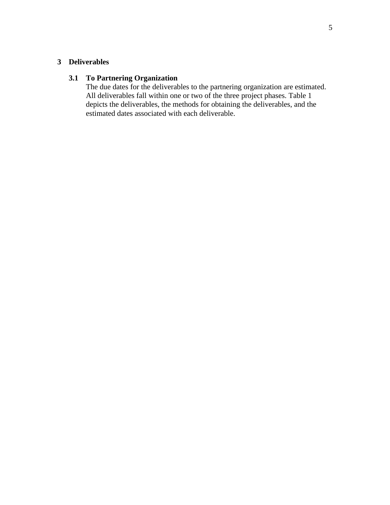## **3 Deliverables**

## **3.1 To Partnering Organization**

The due dates for the deliverables to the partnering organization are estimated. All deliverables fall within one or two of the three project phases. Table 1 depicts the deliverables, the methods for obtaining the deliverables, and the estimated dates associated with each deliverable.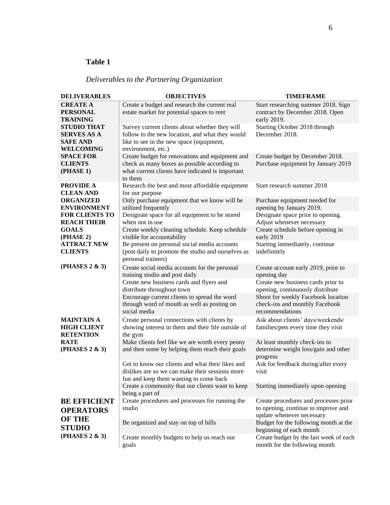## **Table 1**

## *Deliverables to the Partnering Organization*

| <b>DELIVERABLES</b>                                                             | <b>OBJECTIVES</b>                                                                                                                                                   | <b>TIMEFRAME</b>                                                                                             |
|---------------------------------------------------------------------------------|---------------------------------------------------------------------------------------------------------------------------------------------------------------------|--------------------------------------------------------------------------------------------------------------|
| <b>CREATE A</b><br><b>PERSONAL</b><br><b>TRAINING</b>                           | Create a budget and research the current real<br>estate market for potential spaces to rent                                                                         | Start researching summer 2018. Sign<br>contract by December 2018. Open<br>early 2019.                        |
| <b>STUDIO THAT</b><br><b>SERVES AS A</b><br><b>SAFE AND</b><br><b>WELCOMING</b> | Survey current clients about whether they will<br>follow to the new location, and what they would<br>like to see in the new space (equipment,<br>environment, etc.) | Starting October 2018 through<br>December 2018.                                                              |
| <b>SPACE FOR</b><br><b>CLIENTS</b><br>(PHASE 1)                                 | Create budget for renovations and equipment and<br>check as many boxes as possible according to<br>what current clients have indicated is important<br>to them      | Create budget by December 2018.<br>Purchase equipment by January 2019                                        |
| <b>PROVIDE A</b><br><b>CLEAN AND</b>                                            | Research the best and most affordable equipment<br>for our purpose                                                                                                  | Start research summer 2018                                                                                   |
| <b>ORGANIZED</b><br><b>ENVIRONMENT</b>                                          | Only purchase equipment that we know will be<br>utilized frequently                                                                                                 | Purchase equipment needed for<br>opening by January 2019.                                                    |
| <b>FOR CLIENTS TO</b><br><b>REACH THEIR</b>                                     | Designate space for all equipment to be stored<br>when not in use                                                                                                   | Designate space prior to opening.<br>Adjust whenever necessary                                               |
| <b>GOALS</b><br>(PHASE 2)                                                       | Create weekly cleaning schedule. Keep schedule<br>visible for accountability                                                                                        | Create schedule before opening in<br>early 2019                                                              |
| <b>ATTRACT NEW</b><br><b>CLIENTS</b>                                            | Be present on personal social media accounts<br>(post daily to promote the studio and ourselves as<br>personal trainers)                                            | Starting immediately, continue<br>indefinitely                                                               |
| (PHASES 2 & 3)                                                                  | Create social media accounts for the personal<br>training studio and post daily                                                                                     | Create account early 2019, prior to<br>opening day                                                           |
|                                                                                 | Create new business cards and flyers and<br>distribute throughout town<br>Encourage current clients to spread the word                                              | Create new business cards prior to<br>opening, continuously distribute<br>Shoot for weekly Facebook location |
|                                                                                 | through word of mouth as well as posting on<br>social media                                                                                                         | check-ins and monthly Facebook<br>recommendations                                                            |
| <b>MAINTAIN A</b><br><b>HIGH CLIENT</b><br><b>RETENTION</b>                     | Create personal connections with clients by<br>showing interest in them and their life outside of<br>the gym                                                        | Ask about clients' days/weekends/<br>families/pets every time they visit                                     |
| <b>RATE</b><br>(PHASES 2 & 3)                                                   | Make clients feel like we are worth every penny<br>and then some by helping them reach their goals                                                                  | At least monthly check-ins to<br>determine weight loss/gain and other<br>progress                            |
|                                                                                 | Get to know our clients and what their likes and<br>dislikes are so we can make their sessions more<br>fun and keep them wanting to come back                       | Ask for feedback during/after every<br>visit                                                                 |
|                                                                                 | Create a community that our clients want to keep<br>being a part of                                                                                                 | Starting immediately upon opening                                                                            |
| <b>BE EFFICIENT</b><br><b>OPERATORS</b><br><b>OF THE</b>                        | Create procedures and processes for running the<br>studio                                                                                                           | Create procedures and processes prior<br>to opening, continue to improve and<br>update whenever necessary    |
| <b>STUDIO</b>                                                                   | Be organized and stay on top of bills                                                                                                                               | Budget for the following month at the<br>beginning of each month                                             |
| (PHASES 2 & 3)                                                                  | Create monthly budgets to help us reach our<br>goals                                                                                                                | Create budget by the last week of each<br>month for the following month                                      |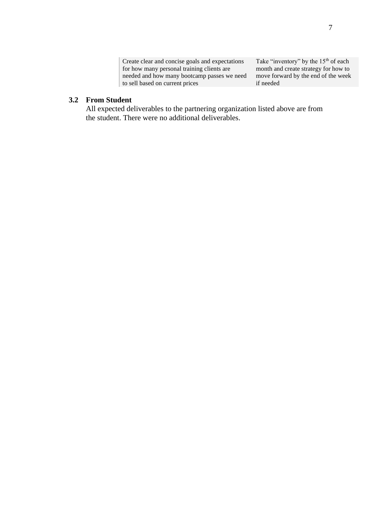Create clear and concise goals and expectations for how many personal training clients are needed and how many bootcamp passes we need to sell based on current prices

Take "inventory" by the 15<sup>th</sup> of each month and create strategy for how to move forward by the end of the week if needed

### **3.2 From Student**

All expected deliverables to the partnering organization listed above are from the student. There were no additional deliverables.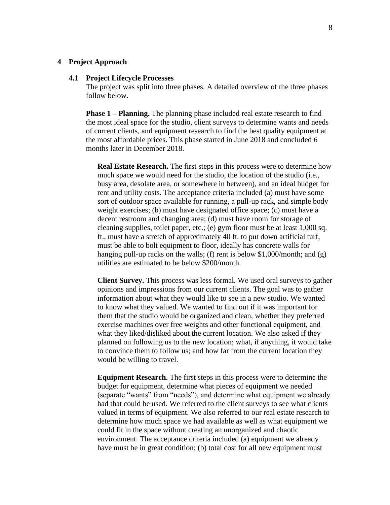#### **4 Project Approach**

#### **4.1 Project Lifecycle Processes**

The project was split into three phases. A detailed overview of the three phases follow below.

**Phase 1 – Planning.** The planning phase included real estate research to find the most ideal space for the studio, client surveys to determine wants and needs of current clients, and equipment research to find the best quality equipment at the most affordable prices. This phase started in June 2018 and concluded 6 months later in December 2018.

**Real Estate Research.** The first steps in this process were to determine how much space we would need for the studio, the location of the studio (i.e., busy area, desolate area, or somewhere in between), and an ideal budget for rent and utility costs. The acceptance criteria included (a) must have some sort of outdoor space available for running, a pull-up rack, and simple body weight exercises; (b) must have designated office space; (c) must have a decent restroom and changing area; (d) must have room for storage of cleaning supplies, toilet paper, etc.; (e) gym floor must be at least 1,000 sq. ft., must have a stretch of approximately 40 ft. to put down artificial turf, must be able to bolt equipment to floor, ideally has concrete walls for hanging pull-up racks on the walls; (f) rent is below \$1,000/month; and (g) utilities are estimated to be below \$200/month.

**Client Survey.** This process was less formal. We used oral surveys to gather opinions and impressions from our current clients. The goal was to gather information about what they would like to see in a new studio. We wanted to know what they valued. We wanted to find out if it was important for them that the studio would be organized and clean, whether they preferred exercise machines over free weights and other functional equipment, and what they liked/disliked about the current location. We also asked if they planned on following us to the new location; what, if anything, it would take to convince them to follow us; and how far from the current location they would be willing to travel.

**Equipment Research.** The first steps in this process were to determine the budget for equipment, determine what pieces of equipment we needed (separate "wants" from "needs"), and determine what equipment we already had that could be used. We referred to the client surveys to see what clients valued in terms of equipment. We also referred to our real estate research to determine how much space we had available as well as what equipment we could fit in the space without creating an unorganized and chaotic environment. The acceptance criteria included (a) equipment we already have must be in great condition; (b) total cost for all new equipment must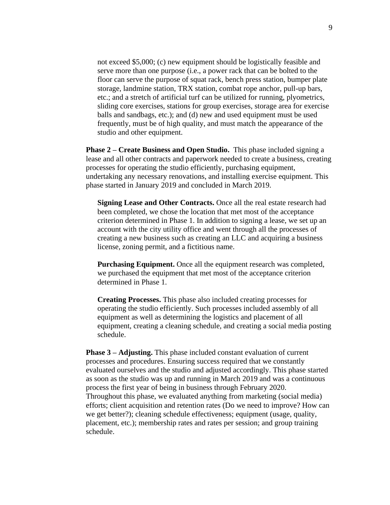not exceed \$5,000; (c) new equipment should be logistically feasible and serve more than one purpose (i.e., a power rack that can be bolted to the floor can serve the purpose of squat rack, bench press station, bumper plate storage, landmine station, TRX station, combat rope anchor, pull-up bars, etc.; and a stretch of artificial turf can be utilized for running, plyometrics, sliding core exercises, stations for group exercises, storage area for exercise balls and sandbags, etc.); and (d) new and used equipment must be used frequently, must be of high quality, and must match the appearance of the studio and other equipment.

**Phase 2 – Create Business and Open Studio.** This phase included signing a lease and all other contracts and paperwork needed to create a business, creating processes for operating the studio efficiently, purchasing equipment, undertaking any necessary renovations, and installing exercise equipment. This phase started in January 2019 and concluded in March 2019.

**Signing Lease and Other Contracts.** Once all the real estate research had been completed, we chose the location that met most of the acceptance criterion determined in Phase 1. In addition to signing a lease, we set up an account with the city utility office and went through all the processes of creating a new business such as creating an LLC and acquiring a business license, zoning permit, and a fictitious name.

**Purchasing Equipment.** Once all the equipment research was completed, we purchased the equipment that met most of the acceptance criterion determined in Phase 1.

**Creating Processes.** This phase also included creating processes for operating the studio efficiently. Such processes included assembly of all equipment as well as determining the logistics and placement of all equipment, creating a cleaning schedule, and creating a social media posting schedule.

**Phase 3 – Adjusting.** This phase included constant evaluation of current processes and procedures. Ensuring success required that we constantly evaluated ourselves and the studio and adjusted accordingly. This phase started as soon as the studio was up and running in March 2019 and was a continuous process the first year of being in business through February 2020. Throughout this phase, we evaluated anything from marketing (social media) efforts; client acquisition and retention rates (Do we need to improve? How can we get better?); cleaning schedule effectiveness; equipment (usage, quality, placement, etc.); membership rates and rates per session; and group training schedule.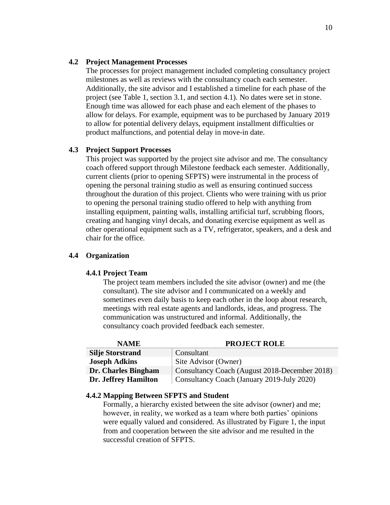#### **4.2 Project Management Processes**

The processes for project management included completing consultancy project milestones as well as reviews with the consultancy coach each semester. Additionally, the site advisor and I established a timeline for each phase of the project (see Table 1, section 3.1, and section 4.1). No dates were set in stone. Enough time was allowed for each phase and each element of the phases to allow for delays. For example, equipment was to be purchased by January 2019 to allow for potential delivery delays, equipment installment difficulties or product malfunctions, and potential delay in move-in date.

#### **4.3 Project Support Processes**

This project was supported by the project site advisor and me. The consultancy coach offered support through Milestone feedback each semester. Additionally, current clients (prior to opening SFPTS) were instrumental in the process of opening the personal training studio as well as ensuring continued success throughout the duration of this project. Clients who were training with us prior to opening the personal training studio offered to help with anything from installing equipment, painting walls, installing artificial turf, scrubbing floors, creating and hanging vinyl decals, and donating exercise equipment as well as other operational equipment such as a TV, refrigerator, speakers, and a desk and chair for the office.

### **4.4 Organization**

### **4.4.1 Project Team**

The project team members included the site advisor (owner) and me (the consultant). The site advisor and I communicated on a weekly and sometimes even daily basis to keep each other in the loop about research, meetings with real estate agents and landlords, ideas, and progress. The communication was unstructured and informal. Additionally, the consultancy coach provided feedback each semester.

| <b>NAME</b>             | <b>PROJECT ROLE</b>                           |
|-------------------------|-----------------------------------------------|
| <b>Silje Storstrand</b> | Consultant                                    |
| <b>Joseph Adkins</b>    | Site Advisor (Owner)                          |
| Dr. Charles Bingham     | Consultancy Coach (August 2018-December 2018) |
| Dr. Jeffrey Hamilton    | Consultancy Coach (January 2019-July 2020)    |

#### **4.4.2 Mapping Between SFPTS and Student**

Formally, a hierarchy existed between the site advisor (owner) and me; however, in reality, we worked as a team where both parties' opinions were equally valued and considered. As illustrated by Figure 1, the input from and cooperation between the site advisor and me resulted in the successful creation of SFPTS.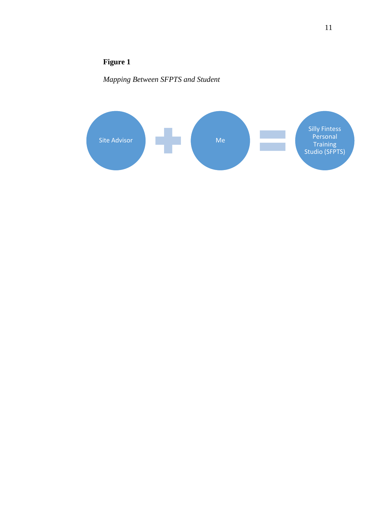## **Figure 1**

*Mapping Between SFPTS and Student*

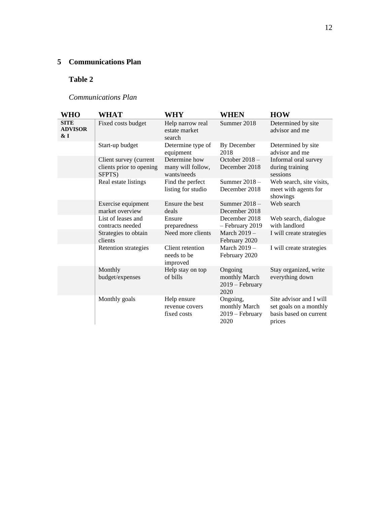## **5 Communications Plan**

## **Table 2**

## *Communications Plan*

| <b>WHO</b>                              | <b>WHAT</b>                                                  | WHY                                               | <b>WHEN</b>                                            | <b>HOW</b>                                                                            |
|-----------------------------------------|--------------------------------------------------------------|---------------------------------------------------|--------------------------------------------------------|---------------------------------------------------------------------------------------|
| <b>SITE</b><br><b>ADVISOR</b><br>$\&$ I | Fixed costs budget                                           | Help narrow real<br>estate market<br>search       | Summer 2018                                            | Determined by site<br>advisor and me                                                  |
|                                         | Start-up budget                                              | Determine type of<br>equipment                    | By December<br>2018                                    | Determined by site<br>advisor and me                                                  |
|                                         | Client survey (current<br>clients prior to opening<br>SFPTS) | Determine how<br>many will follow,<br>wants/needs | October $2018 -$<br>December 2018                      | Informal oral survey<br>during training<br>sessions                                   |
|                                         | Real estate listings                                         | Find the perfect<br>listing for studio            | Summer $2018 -$<br>December 2018                       | Web search, site visits,<br>meet with agents for<br>showings                          |
|                                         | Exercise equipment<br>market overview                        | Ensure the best<br>deals                          | Summer $2018 -$<br>December 2018                       | Web search                                                                            |
|                                         | List of leases and<br>contracts needed                       | Ensure<br>preparedness                            | December 2018<br>- February 2019                       | Web search, dialogue<br>with landlord                                                 |
|                                         | Strategies to obtain<br>clients                              | Need more clients                                 | March 2019 -<br>February 2020                          | I will create strategies                                                              |
|                                         | Retention strategies                                         | Client retention<br>needs to be<br>improved       | March $2019 -$<br>February 2020                        | I will create strategies                                                              |
|                                         | Monthly<br>budget/expenses                                   | Help stay on top<br>of bills                      | Ongoing<br>monthly March<br>$2019$ – February<br>2020  | Stay organized, write<br>everything down                                              |
|                                         | Monthly goals                                                | Help ensure<br>revenue covers<br>fixed costs      | Ongoing,<br>monthly March<br>$2019$ – February<br>2020 | Site advisor and I will<br>set goals on a monthly<br>basis based on current<br>prices |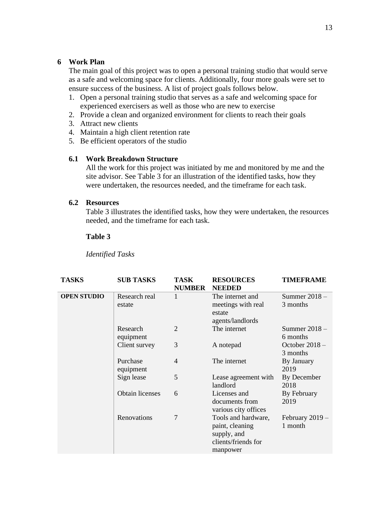## **6 Work Plan**

The main goal of this project was to open a personal training studio that would serve as a safe and welcoming space for clients. Additionally, four more goals were set to ensure success of the business. A list of project goals follows below.

- 1. Open a personal training studio that serves as a safe and welcoming space for experienced exercisers as well as those who are new to exercise
- 2. Provide a clean and organized environment for clients to reach their goals
- 3. Attract new clients
- 4. Maintain a high client retention rate
- 5. Be efficient operators of the studio

## **6.1 Work Breakdown Structure**

All the work for this project was initiated by me and monitored by me and the site advisor. See Table 3 for an illustration of the identified tasks, how they were undertaken, the resources needed, and the timeframe for each task.

## **6.2 Resources**

Table 3 illustrates the identified tasks, how they were undertaken, the resources needed, and the timeframe for each task.

## **Table 3**

*Identified Tasks*

| <b>TASKS</b>       | <b>SUB TASKS</b>        | TASK<br><b>NUMBER</b> | <b>RESOURCES</b><br><b>NEEDED</b>                                                        | <b>TIMEFRAME</b>             |
|--------------------|-------------------------|-----------------------|------------------------------------------------------------------------------------------|------------------------------|
| <b>OPEN STUDIO</b> | Research real<br>estate | 1                     | The internet and<br>meetings with real<br>estate<br>agents/landlords                     | Summer $2018 -$<br>3 months  |
|                    | Research<br>equipment   | $\overline{2}$        | The internet                                                                             | Summer 2018 -<br>6 months    |
|                    | Client survey           | 3                     | A notepad                                                                                | October $2018 -$<br>3 months |
|                    | Purchase<br>equipment   | $\overline{4}$        | The internet                                                                             | By January<br>2019           |
|                    | Sign lease              | 5                     | Lease agreement with<br>landlord                                                         | By December<br>2018          |
|                    | Obtain licenses         | 6                     | Licenses and<br>documents from<br>various city offices                                   | By February<br>2019          |
|                    | Renovations             | 7                     | Tools and hardware,<br>paint, cleaning<br>supply, and<br>clients/friends for<br>manpower | February $2019 -$<br>1 month |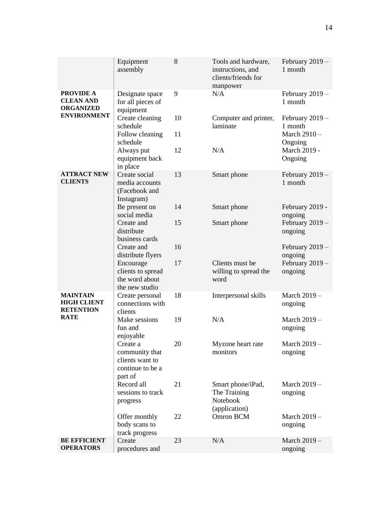| 9<br><b>PROVIDE A</b><br>Designate space<br>N/A<br>February $2019 -$<br><b>CLEAN AND</b><br>for all pieces of<br>1 month<br><b>ORGANIZED</b><br>equipment<br><b>ENVIRONMENT</b><br>10<br>Create cleaning<br>Computer and printer,<br>February 2019 -<br>laminate<br>schedule<br>1 month<br>11<br>March $2910 -$<br>Follow cleaning<br>schedule<br>Ongoing<br>N/A<br>March 2019 -<br>Always put<br>12<br>equipment back<br>Ongoing<br>in place<br><b>ATTRACT NEW</b><br>Create social<br>13<br>Smart phone<br>February $2019 -$<br><b>CLIENTS</b><br>1 month<br>media accounts<br>(Facebook and<br>Instagram)<br>Be present on<br>14<br>Smart phone<br>February 2019 -<br>social media<br>ongoing<br>February $2019 -$<br>Create and<br>15<br>Smart phone<br>distribute<br>ongoing<br>business cards<br>16<br>February $2019-$<br>Create and<br>distribute flyers<br>ongoing<br>17<br>February $2019 -$<br>Clients must be<br>Encourage<br>clients to spread<br>willing to spread the<br>ongoing<br>the word about<br>word<br>the new studio<br><b>MAINTAIN</b><br>18<br>March 2019 -<br>Interpersonal skills<br>Create personal<br><b>HIGH CLIENT</b><br>connections with<br>ongoing<br><b>RETENTION</b><br>clients<br><b>RATE</b><br>N/A<br>Make sessions<br>19<br>March 2019 -<br>fun and<br>ongoing<br>enjoyable<br>March 2019 -<br>20<br>Myzone heart rate<br>Create a<br>community that<br>monitors<br>ongoing<br>clients want to<br>continue to be a<br>part of<br>Record all<br>21<br>March 2019 -<br>Smart phone/iPad,<br>sessions to track<br>The Training<br>ongoing<br>Notebook<br>progress<br>(application)<br>Omron BCM<br>22<br>March 2019 -<br>Offer monthly<br>body scans to<br>ongoing<br>track progress<br><b>BE EFFICIENT</b><br>Create<br>23<br>N/A<br>March 2019 -<br><b>OPERATORS</b><br>procedures and<br>ongoing | Equipment<br>assembly | 8 | Tools and hardware,<br>instructions, and<br>clients/friends for<br>manpower | February $2019-$<br>1 month |
|------------------------------------------------------------------------------------------------------------------------------------------------------------------------------------------------------------------------------------------------------------------------------------------------------------------------------------------------------------------------------------------------------------------------------------------------------------------------------------------------------------------------------------------------------------------------------------------------------------------------------------------------------------------------------------------------------------------------------------------------------------------------------------------------------------------------------------------------------------------------------------------------------------------------------------------------------------------------------------------------------------------------------------------------------------------------------------------------------------------------------------------------------------------------------------------------------------------------------------------------------------------------------------------------------------------------------------------------------------------------------------------------------------------------------------------------------------------------------------------------------------------------------------------------------------------------------------------------------------------------------------------------------------------------------------------------------------------------------------------------------------------------------------------------------------------------------------------|-----------------------|---|-----------------------------------------------------------------------------|-----------------------------|
|                                                                                                                                                                                                                                                                                                                                                                                                                                                                                                                                                                                                                                                                                                                                                                                                                                                                                                                                                                                                                                                                                                                                                                                                                                                                                                                                                                                                                                                                                                                                                                                                                                                                                                                                                                                                                                          |                       |   |                                                                             |                             |
|                                                                                                                                                                                                                                                                                                                                                                                                                                                                                                                                                                                                                                                                                                                                                                                                                                                                                                                                                                                                                                                                                                                                                                                                                                                                                                                                                                                                                                                                                                                                                                                                                                                                                                                                                                                                                                          |                       |   |                                                                             |                             |
|                                                                                                                                                                                                                                                                                                                                                                                                                                                                                                                                                                                                                                                                                                                                                                                                                                                                                                                                                                                                                                                                                                                                                                                                                                                                                                                                                                                                                                                                                                                                                                                                                                                                                                                                                                                                                                          |                       |   |                                                                             |                             |
|                                                                                                                                                                                                                                                                                                                                                                                                                                                                                                                                                                                                                                                                                                                                                                                                                                                                                                                                                                                                                                                                                                                                                                                                                                                                                                                                                                                                                                                                                                                                                                                                                                                                                                                                                                                                                                          |                       |   |                                                                             |                             |
|                                                                                                                                                                                                                                                                                                                                                                                                                                                                                                                                                                                                                                                                                                                                                                                                                                                                                                                                                                                                                                                                                                                                                                                                                                                                                                                                                                                                                                                                                                                                                                                                                                                                                                                                                                                                                                          |                       |   |                                                                             |                             |
|                                                                                                                                                                                                                                                                                                                                                                                                                                                                                                                                                                                                                                                                                                                                                                                                                                                                                                                                                                                                                                                                                                                                                                                                                                                                                                                                                                                                                                                                                                                                                                                                                                                                                                                                                                                                                                          |                       |   |                                                                             |                             |
|                                                                                                                                                                                                                                                                                                                                                                                                                                                                                                                                                                                                                                                                                                                                                                                                                                                                                                                                                                                                                                                                                                                                                                                                                                                                                                                                                                                                                                                                                                                                                                                                                                                                                                                                                                                                                                          |                       |   |                                                                             |                             |
|                                                                                                                                                                                                                                                                                                                                                                                                                                                                                                                                                                                                                                                                                                                                                                                                                                                                                                                                                                                                                                                                                                                                                                                                                                                                                                                                                                                                                                                                                                                                                                                                                                                                                                                                                                                                                                          |                       |   |                                                                             |                             |
|                                                                                                                                                                                                                                                                                                                                                                                                                                                                                                                                                                                                                                                                                                                                                                                                                                                                                                                                                                                                                                                                                                                                                                                                                                                                                                                                                                                                                                                                                                                                                                                                                                                                                                                                                                                                                                          |                       |   |                                                                             |                             |
|                                                                                                                                                                                                                                                                                                                                                                                                                                                                                                                                                                                                                                                                                                                                                                                                                                                                                                                                                                                                                                                                                                                                                                                                                                                                                                                                                                                                                                                                                                                                                                                                                                                                                                                                                                                                                                          |                       |   |                                                                             |                             |
|                                                                                                                                                                                                                                                                                                                                                                                                                                                                                                                                                                                                                                                                                                                                                                                                                                                                                                                                                                                                                                                                                                                                                                                                                                                                                                                                                                                                                                                                                                                                                                                                                                                                                                                                                                                                                                          |                       |   |                                                                             |                             |
|                                                                                                                                                                                                                                                                                                                                                                                                                                                                                                                                                                                                                                                                                                                                                                                                                                                                                                                                                                                                                                                                                                                                                                                                                                                                                                                                                                                                                                                                                                                                                                                                                                                                                                                                                                                                                                          |                       |   |                                                                             |                             |
|                                                                                                                                                                                                                                                                                                                                                                                                                                                                                                                                                                                                                                                                                                                                                                                                                                                                                                                                                                                                                                                                                                                                                                                                                                                                                                                                                                                                                                                                                                                                                                                                                                                                                                                                                                                                                                          |                       |   |                                                                             |                             |
|                                                                                                                                                                                                                                                                                                                                                                                                                                                                                                                                                                                                                                                                                                                                                                                                                                                                                                                                                                                                                                                                                                                                                                                                                                                                                                                                                                                                                                                                                                                                                                                                                                                                                                                                                                                                                                          |                       |   |                                                                             |                             |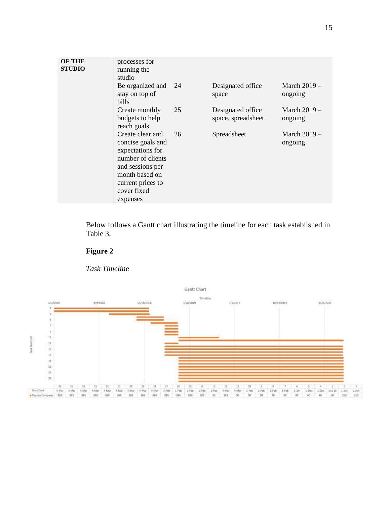| <b>OF THE</b><br><b>STUDIO</b> | processes for<br>running the<br>studio                                                                                                                   |    |                                         |                          |
|--------------------------------|----------------------------------------------------------------------------------------------------------------------------------------------------------|----|-----------------------------------------|--------------------------|
|                                | Be organized and 24<br>stay on top of<br>bills                                                                                                           |    | Designated office<br>space              | March $2019-$<br>ongoing |
|                                | Create monthly<br>budgets to help<br>reach goals                                                                                                         | 25 | Designated office<br>space, spreadsheet | March $2019-$<br>ongoing |
|                                | Create clear and<br>concise goals and<br>expectations for<br>number of clients<br>and sessions per<br>month based on<br>current prices to<br>cover fixed | 26 | Spreadsheet                             | March $2019-$<br>ongoing |
|                                | expenses                                                                                                                                                 |    |                                         |                          |

Below follows a Gantt chart illustrating the timeline for each task established in Table 3.





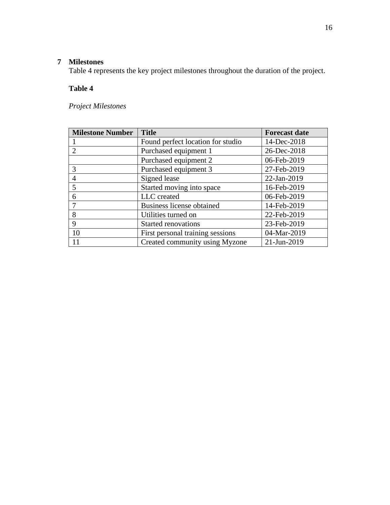## **Milestones**

Table 4 represents the key project milestones throughout the duration of the project.

## **Table 4**

*Project Milestones*

| <b>Milestone Number</b> | <b>Title</b>                      | <b>Forecast date</b> |
|-------------------------|-----------------------------------|----------------------|
|                         | Found perfect location for studio | 14-Dec-2018          |
|                         | Purchased equipment 1             | 26-Dec-2018          |
|                         | Purchased equipment 2             | 06-Feb-2019          |
| 3                       | Purchased equipment 3             | 27-Feb-2019          |
| 4                       | Signed lease                      | 22-Jan-2019          |
| 5                       | Started moving into space         | 16-Feb-2019          |
| 6                       | LLC created                       | 06-Feb-2019          |
|                         | <b>Business license obtained</b>  | 14-Feb-2019          |
| 8                       | Utilities turned on               | 22-Feb-2019          |
| 9                       | <b>Started renovations</b>        | 23-Feb-2019          |
| 10                      | First personal training sessions  | 04-Mar-2019          |
| 11                      | Created community using Myzone    | 21-Jun-2019          |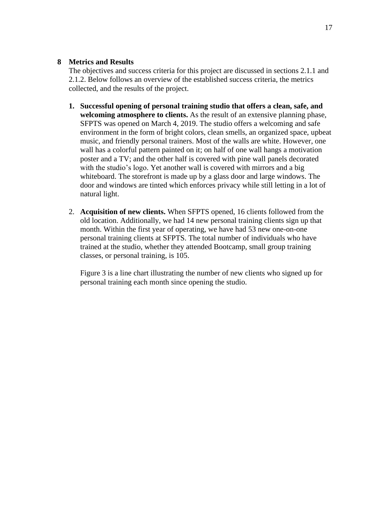## **8 Metrics and Results**

The objectives and success criteria for this project are discussed in sections 2.1.1 and 2.1.2. Below follows an overview of the established success criteria, the metrics collected, and the results of the project.

- **1. Successful opening of personal training studio that offers a clean, safe, and welcoming atmosphere to clients.** As the result of an extensive planning phase, SFPTS was opened on March 4, 2019. The studio offers a welcoming and safe environment in the form of bright colors, clean smells, an organized space, upbeat music, and friendly personal trainers. Most of the walls are white. However, one wall has a colorful pattern painted on it; on half of one wall hangs a motivation poster and a TV; and the other half is covered with pine wall panels decorated with the studio's logo. Yet another wall is covered with mirrors and a big whiteboard. The storefront is made up by a glass door and large windows. The door and windows are tinted which enforces privacy while still letting in a lot of natural light.
- 2. **Acquisition of new clients.** When SFPTS opened, 16 clients followed from the old location. Additionally, we had 14 new personal training clients sign up that month. Within the first year of operating, we have had 53 new one-on-one personal training clients at SFPTS. The total number of individuals who have trained at the studio, whether they attended Bootcamp, small group training classes, or personal training, is 105.

Figure 3 is a line chart illustrating the number of new clients who signed up for personal training each month since opening the studio.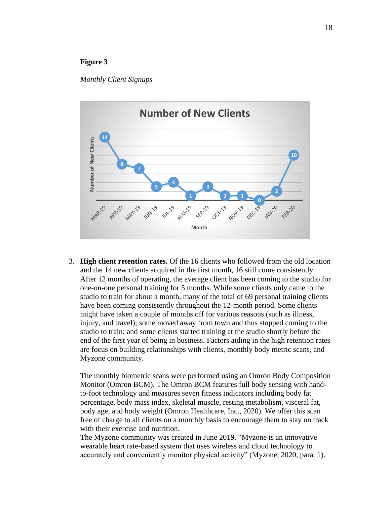### **Figure 3**

#### *Monthly Client Signups*



3. **High client retention rates.** Of the 16 clients who followed from the old location and the 14 new clients acquired in the first month, 16 still come consistently. After 12 months of operating, the average client has been coming to the studio for one-on-one personal training for 5 months. While some clients only came to the studio to train for about a month, many of the total of 69 personal training clients have been coming consistently throughout the 12-month period. Some clients might have taken a couple of months off for various reasons (such as illness, injury, and travel); some moved away from town and thus stopped coming to the studio to train; and some clients started training at the studio shortly before the end of the first year of being in business. Factors aiding in the high retention rates are focus on building relationships with clients, monthly body metric scans, and Myzone community.

The monthly biometric scans were performed using an Omron Body Composition Monitor (Omron BCM). The Omron BCM features full body sensing with handto-foot technology and measures seven fitness indicators including body fat percentage, body mass index, skeletal muscle, resting metabolism, visceral fat, body age, and body weight (Omron Healthcare, Inc., 2020). We offer this scan free of charge to all clients on a monthly basis to encourage them to stay on track with their exercise and nutrition.

The Myzone community was created in June 2019. "Myzone is an innovative wearable heart rate-based system that uses wireless and cloud technology to accurately and conveniently monitor physical activity" (Myzone, 2020, para. 1).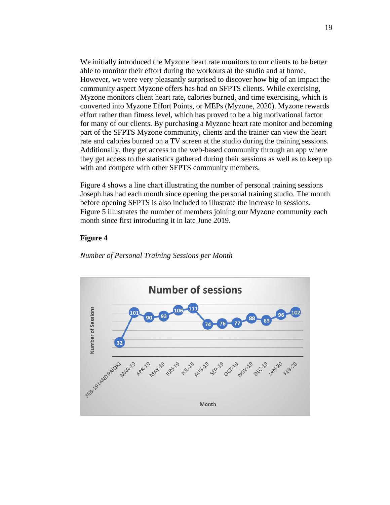We initially introduced the Myzone heart rate monitors to our clients to be better able to monitor their effort during the workouts at the studio and at home. However, we were very pleasantly surprised to discover how big of an impact the community aspect Myzone offers has had on SFPTS clients. While exercising, Myzone monitors client heart rate, calories burned, and time exercising, which is converted into Myzone Effort Points, or MEPs (Myzone, 2020). Myzone rewards effort rather than fitness level, which has proved to be a big motivational factor for many of our clients. By purchasing a Myzone heart rate monitor and becoming part of the SFPTS Myzone community, clients and the trainer can view the heart rate and calories burned on a TV screen at the studio during the training sessions. Additionally, they get access to the web-based community through an app where they get access to the statistics gathered during their sessions as well as to keep up with and compete with other SFPTS community members.

Figure 4 shows a line chart illustrating the number of personal training sessions Joseph has had each month since opening the personal training studio. The month before opening SFPTS is also included to illustrate the increase in sessions. Figure 5 illustrates the number of members joining our Myzone community each month since first introducing it in late June 2019.

### **Figure 4**

*Number of Personal Training Sessions per Month*

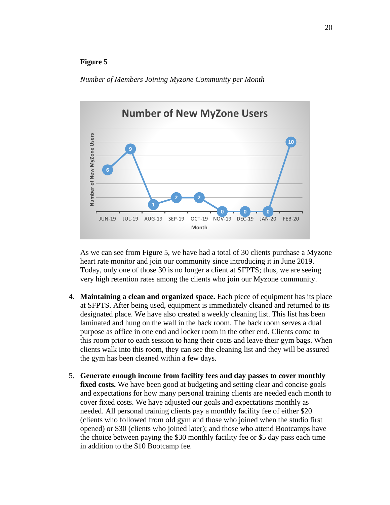### **Figure 5**

#### *Number of Members Joining Myzone Community per Month*



As we can see from Figure 5, we have had a total of 30 clients purchase a Myzone heart rate monitor and join our community since introducing it in June 2019. Today, only one of those 30 is no longer a client at SFPTS; thus, we are seeing very high retention rates among the clients who join our Myzone community.

- 4. **Maintaining a clean and organized space.** Each piece of equipment has its place at SFPTS. After being used, equipment is immediately cleaned and returned to its designated place. We have also created a weekly cleaning list. This list has been laminated and hung on the wall in the back room. The back room serves a dual purpose as office in one end and locker room in the other end. Clients come to this room prior to each session to hang their coats and leave their gym bags. When clients walk into this room, they can see the cleaning list and they will be assured the gym has been cleaned within a few days.
- 5. **Generate enough income from facility fees and day passes to cover monthly fixed costs.** We have been good at budgeting and setting clear and concise goals and expectations for how many personal training clients are needed each month to cover fixed costs. We have adjusted our goals and expectations monthly as needed. All personal training clients pay a monthly facility fee of either \$20 (clients who followed from old gym and those who joined when the studio first opened) or \$30 (clients who joined later); and those who attend Bootcamps have the choice between paying the \$30 monthly facility fee or \$5 day pass each time in addition to the \$10 Bootcamp fee.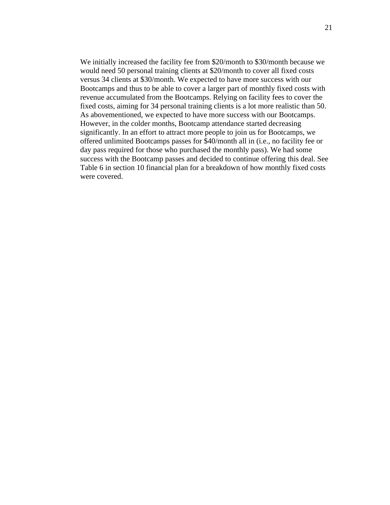We initially increased the facility fee from \$20/month to \$30/month because we would need 50 personal training clients at \$20/month to cover all fixed costs versus 34 clients at \$30/month. We expected to have more success with our Bootcamps and thus to be able to cover a larger part of monthly fixed costs with revenue accumulated from the Bootcamps. Relying on facility fees to cover the fixed costs, aiming for 34 personal training clients is a lot more realistic than 50. As abovementioned, we expected to have more success with our Bootcamps. However, in the colder months, Bootcamp attendance started decreasing significantly. In an effort to attract more people to join us for Bootcamps, we offered unlimited Bootcamps passes for \$40/month all in (i.e., no facility fee or day pass required for those who purchased the monthly pass). We had some success with the Bootcamp passes and decided to continue offering this deal. See Table 6 in section 10 financial plan for a breakdown of how monthly fixed costs were covered.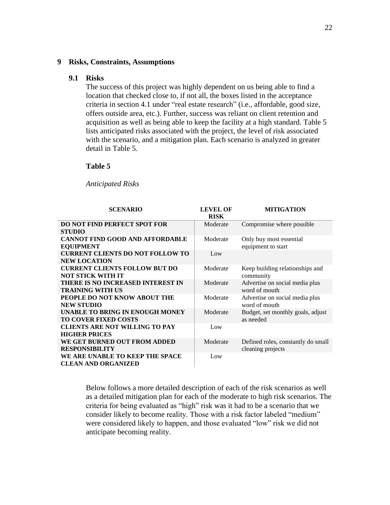#### **9 Risks, Constraints, Assumptions**

### **9.1 Risks**

The success of this project was highly dependent on us being able to find a location that checked close to, if not all, the boxes listed in the acceptance criteria in section 4.1 under "real estate research" (i.e., affordable, good size, offers outside area, etc.). Further, success was reliant on client retention and acquisition as well as being able to keep the facility at a high standard. Table 5 lists anticipated risks associated with the project, the level of risk associated with the scenario, and a mitigation plan. Each scenario is analyzed in greater detail in Table 5.

#### **Table 5**

*Anticipated Risks*

| <b>SCENARIO</b>                          | <b>LEVEL OF</b> | <b>MITIGATION</b>                  |
|------------------------------------------|-----------------|------------------------------------|
|                                          | <b>RISK</b>     |                                    |
| <b>DO NOT FIND PERFECT SPOT FOR</b>      | Moderate        | Compromise where possible          |
| <b>STUDIO</b>                            |                 |                                    |
| <b>CANNOT FIND GOOD AND AFFORDABLE</b>   | Moderate        | Only buy most essential            |
| <b>EQUIPMENT</b>                         |                 | equipment to start                 |
| <b>CURRENT CLIENTS DO NOT FOLLOW TO</b>  | Low             |                                    |
| <b>NEW LOCATION</b>                      |                 |                                    |
| <b>CURRENT CLIENTS FOLLOW BUT DO</b>     | Moderate        | Keep building relationships and    |
| <b>NOT STICK WITH IT</b>                 |                 | community                          |
| <b>THERE IS NO INCREASED INTEREST IN</b> | Moderate        | Advertise on social media plus     |
| <b>TRAINING WITH US</b>                  |                 | word of mouth                      |
| PEOPLE DO NOT KNOW ABOUT THE             | Moderate        | Advertise on social media plus     |
| <b>NEW STUDIO</b>                        |                 | word of mouth                      |
| UNABLE TO BRING IN ENOUGH MONEY          | Moderate        | Budget, set monthly goals, adjust  |
| <b>TO COVER FIXED COSTS</b>              |                 | as needed                          |
| <b>CLIENTS ARE NOT WILLING TO PAY</b>    | Low             |                                    |
| <b>HIGHER PRICES</b>                     |                 |                                    |
| WE GET BURNED OUT FROM ADDED             | Moderate        | Defined roles, constantly do small |
| <b>RESPONSIBILITY</b>                    |                 | cleaning projects                  |
| WE ARE UNABLE TO KEEP THE SPACE          | Low             |                                    |
| <b>CLEAN AND ORGANIZED</b>               |                 |                                    |

Below follows a more detailed description of each of the risk scenarios as well as a detailed mitigation plan for each of the moderate to high risk scenarios. The criteria for being evaluated as "high" risk was it had to be a scenario that we consider likely to become reality. Those with a risk factor labeled "medium" were considered likely to happen, and those evaluated "low" risk we did not anticipate becoming reality.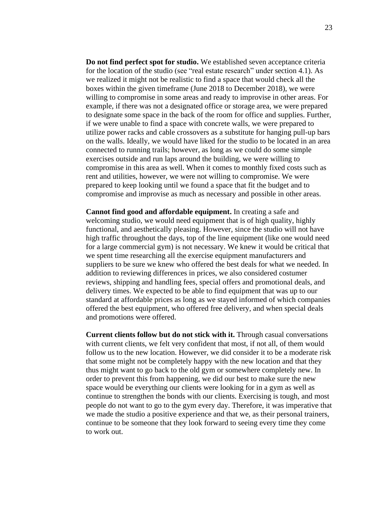**Do not find perfect spot for studio.** We established seven acceptance criteria for the location of the studio (see "real estate research" under section 4.1). As we realized it might not be realistic to find a space that would check all the boxes within the given timeframe (June 2018 to December 2018), we were willing to compromise in some areas and ready to improvise in other areas. For example, if there was not a designated office or storage area, we were prepared to designate some space in the back of the room for office and supplies. Further, if we were unable to find a space with concrete walls, we were prepared to utilize power racks and cable crossovers as a substitute for hanging pull-up bars on the walls. Ideally, we would have liked for the studio to be located in an area connected to running trails; however, as long as we could do some simple exercises outside and run laps around the building, we were willing to compromise in this area as well. When it comes to monthly fixed costs such as rent and utilities, however, we were not willing to compromise. We were prepared to keep looking until we found a space that fit the budget and to compromise and improvise as much as necessary and possible in other areas.

**Cannot find good and affordable equipment.** In creating a safe and welcoming studio, we would need equipment that is of high quality, highly functional, and aesthetically pleasing. However, since the studio will not have high traffic throughout the days, top of the line equipment (like one would need for a large commercial gym) is not necessary. We knew it would be critical that we spent time researching all the exercise equipment manufacturers and suppliers to be sure we knew who offered the best deals for what we needed. In addition to reviewing differences in prices, we also considered costumer reviews, shipping and handling fees, special offers and promotional deals, and delivery times. We expected to be able to find equipment that was up to our standard at affordable prices as long as we stayed informed of which companies offered the best equipment, who offered free delivery, and when special deals and promotions were offered.

**Current clients follow but do not stick with it.** Through casual conversations with current clients, we felt very confident that most, if not all, of them would follow us to the new location. However, we did consider it to be a moderate risk that some might not be completely happy with the new location and that they thus might want to go back to the old gym or somewhere completely new. In order to prevent this from happening, we did our best to make sure the new space would be everything our clients were looking for in a gym as well as continue to strengthen the bonds with our clients. Exercising is tough, and most people do not want to go to the gym every day. Therefore, it was imperative that we made the studio a positive experience and that we, as their personal trainers, continue to be someone that they look forward to seeing every time they come to work out.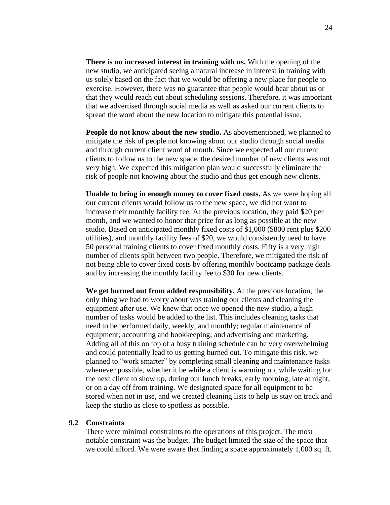**There is no increased interest in training with us.** With the opening of the new studio, we anticipated seeing a natural increase in interest in training with us solely based on the fact that we would be offering a new place for people to exercise. However, there was no guarantee that people would hear about us or that they would reach out about scheduling sessions. Therefore, it was important that we advertised through social media as well as asked our current clients to spread the word about the new location to mitigate this potential issue.

**People do not know about the new studio.** As abovementioned, we planned to mitigate the risk of people not knowing about our studio through social media and through current client word of mouth. Since we expected all our current clients to follow us to the new space, the desired number of new clients was not very high. We expected this mitigation plan would successfully eliminate the risk of people not knowing about the studio and thus get enough new clients.

**Unable to bring in enough money to cover fixed costs.** As we were hoping all our current clients would follow us to the new space, we did not want to increase their monthly facility fee. At the previous location, they paid \$20 per month, and we wanted to honor that price for as long as possible at the new studio. Based on anticipated monthly fixed costs of \$1,000 (\$800 rent plus \$200 utilities), and monthly facility fees of \$20, we would consistently need to have 50 personal training clients to cover fixed monthly costs. Fifty is a very high number of clients split between two people. Therefore, we mitigated the risk of not being able to cover fixed costs by offering monthly bootcamp package deals and by increasing the monthly facility fee to \$30 for new clients.

**We get burned out from added responsibility.** At the previous location, the only thing we had to worry about was training our clients and cleaning the equipment after use. We knew that once we opened the new studio, a high number of tasks would be added to the list. This includes cleaning tasks that need to be performed daily, weekly, and monthly; regular maintenance of equipment; accounting and bookkeeping; and advertising and marketing. Adding all of this on top of a busy training schedule can be very overwhelming and could potentially lead to us getting burned out. To mitigate this risk, we planned to "work smarter" by completing small cleaning and maintenance tasks whenever possible, whether it be while a client is warming up, while waiting for the next client to show up, during our lunch breaks, early morning, late at night, or on a day off from training. We designated space for all equipment to be stored when not in use, and we created cleaning lists to help us stay on track and keep the studio as close to spotless as possible.

#### **9.2 Constraints**

There were minimal constraints to the operations of this project. The most notable constraint was the budget. The budget limited the size of the space that we could afford. We were aware that finding a space approximately 1,000 sq. ft.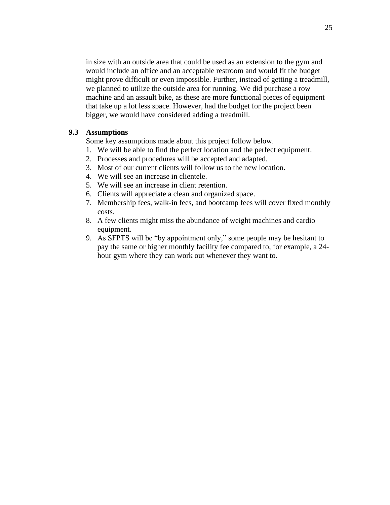in size with an outside area that could be used as an extension to the gym and would include an office and an acceptable restroom and would fit the budget might prove difficult or even impossible. Further, instead of getting a treadmill, we planned to utilize the outside area for running. We did purchase a row machine and an assault bike, as these are more functional pieces of equipment that take up a lot less space. However, had the budget for the project been bigger, we would have considered adding a treadmill.

### **9.3 Assumptions**

Some key assumptions made about this project follow below.

- 1. We will be able to find the perfect location and the perfect equipment.
- 2. Processes and procedures will be accepted and adapted.
- 3. Most of our current clients will follow us to the new location.
- 4. We will see an increase in clientele.
- 5. We will see an increase in client retention.
- 6. Clients will appreciate a clean and organized space.
- 7. Membership fees, walk-in fees, and bootcamp fees will cover fixed monthly costs.
- 8. A few clients might miss the abundance of weight machines and cardio equipment.
- 9. As SFPTS will be "by appointment only," some people may be hesitant to pay the same or higher monthly facility fee compared to, for example, a 24 hour gym where they can work out whenever they want to.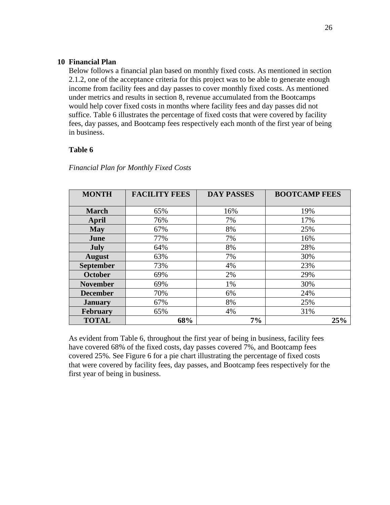### **10 Financial Plan**

Below follows a financial plan based on monthly fixed costs. As mentioned in section 2.1.2, one of the acceptance criteria for this project was to be able to generate enough income from facility fees and day passes to cover monthly fixed costs. As mentioned under metrics and results in section 8, revenue accumulated from the Bootcamps would help cover fixed costs in months where facility fees and day passes did not suffice. Table 6 illustrates the percentage of fixed costs that were covered by facility fees, day passes, and Bootcamp fees respectively each month of the first year of being in business.

### **Table 6**

| <b>MONTH</b>     | <b>FACILITY FEES</b> | <b>DAY PASSES</b> | <b>BOOTCAMP FEES</b> |
|------------------|----------------------|-------------------|----------------------|
|                  |                      |                   |                      |
| <b>March</b>     | 65%                  | 16%               | 19%                  |
| April            | 76%                  | 7%                | 17%                  |
| <b>May</b>       | 67%                  | 8%                | 25%                  |
| June             | 77%                  | 7%                | 16%                  |
| <b>July</b>      | 64%                  | 8%                | 28%                  |
| <b>August</b>    | 63%                  | 7%                | 30%                  |
| <b>September</b> | 73%                  | 4%                | 23%                  |
| <b>October</b>   | 69%                  | 2%                | 29%                  |
| <b>November</b>  | 69%                  | 1%                | 30%                  |
| <b>December</b>  | 70%                  | 6%                | 24%                  |
| <b>January</b>   | 67%                  | 8%                | 25%                  |
| <b>February</b>  | 65%                  | 4%                | 31%                  |
| <b>TOTAL</b>     | 68%                  | 7%                | 25%                  |

### *Financial Plan for Monthly Fixed Costs*

As evident from Table 6, throughout the first year of being in business, facility fees have covered 68% of the fixed costs, day passes covered 7%, and Bootcamp fees covered 25%. See Figure 6 for a pie chart illustrating the percentage of fixed costs that were covered by facility fees, day passes, and Bootcamp fees respectively for the first year of being in business.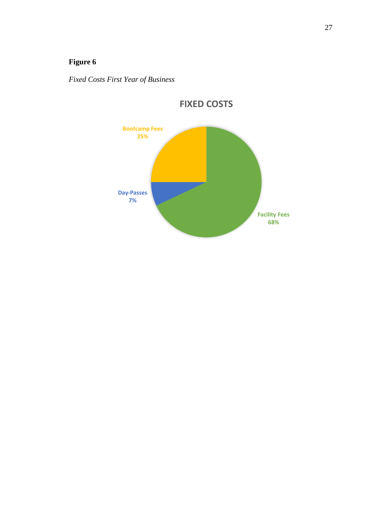## **Figure 6**

*Fixed Costs First Year of Business*



**FIXED COSTS**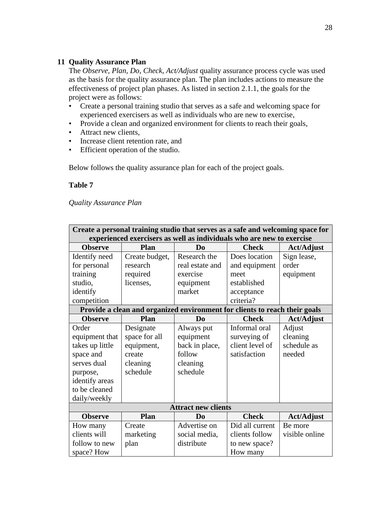## **11 Quality Assurance Plan**

The *Observe, Plan, Do, Check, Act/Adjust* quality assurance process cycle was used as the basis for the quality assurance plan. The plan includes actions to measure the effectiveness of project plan phases. As listed in section 2.1.1, the goals for the project were as follows:

- Create a personal training studio that serves as a safe and welcoming space for experienced exercisers as well as individuals who are new to exercise,
- Provide a clean and organized environment for clients to reach their goals,
- Attract new clients,
- Increase client retention rate, and
- Efficient operation of the studio.

Below follows the quality assurance plan for each of the project goals.

## **Table 7**

## *Quality Assurance Plan*

|                 | Create a personal training studio that serves as a safe and welcoming space for |                                                                            |                 |                   |  |  |
|-----------------|---------------------------------------------------------------------------------|----------------------------------------------------------------------------|-----------------|-------------------|--|--|
|                 |                                                                                 | experienced exercisers as well as individuals who are new to exercise      |                 |                   |  |  |
| <b>Observe</b>  | <b>Check</b><br><b>Plan</b><br>D <sub>0</sub><br><b>Act/Adjust</b>              |                                                                            |                 |                   |  |  |
| Identify need   | Create budget,                                                                  | Research the                                                               | Does location   | Sign lease,       |  |  |
| for personal    | research                                                                        | real estate and                                                            | and equipment   | order             |  |  |
| training        | required                                                                        | exercise                                                                   | meet            | equipment         |  |  |
| studio,         | licenses,                                                                       | equipment                                                                  | established     |                   |  |  |
| identify        |                                                                                 | market                                                                     | acceptance      |                   |  |  |
| competition     |                                                                                 |                                                                            | criteria?       |                   |  |  |
|                 |                                                                                 | Provide a clean and organized environment for clients to reach their goals |                 |                   |  |  |
| <b>Observe</b>  | Plan                                                                            | D <sub>0</sub>                                                             | <b>Check</b>    | <b>Act/Adjust</b> |  |  |
| Order           | Designate                                                                       | Always put                                                                 | Informal oral   | Adjust            |  |  |
| equipment that  | space for all                                                                   | equipment                                                                  | surveying of    | cleaning          |  |  |
| takes up little | equipment,                                                                      | back in place,                                                             | client level of | schedule as       |  |  |
| space and       | create                                                                          | follow                                                                     | satisfaction    | needed            |  |  |
| serves dual     | cleaning                                                                        | cleaning                                                                   |                 |                   |  |  |
| purpose,        | schedule                                                                        | schedule                                                                   |                 |                   |  |  |
| identify areas  |                                                                                 |                                                                            |                 |                   |  |  |
| to be cleaned   |                                                                                 |                                                                            |                 |                   |  |  |
| daily/weekly    |                                                                                 |                                                                            |                 |                   |  |  |
|                 |                                                                                 | <b>Attract new clients</b>                                                 |                 |                   |  |  |
| <b>Observe</b>  | Plan                                                                            | D <sub>0</sub>                                                             | <b>Check</b>    | <b>Act/Adjust</b> |  |  |
| How many        | Create                                                                          | Advertise on                                                               | Did all current | Be more           |  |  |
| clients will    | marketing                                                                       | social media,                                                              | clients follow  | visible online    |  |  |
| follow to new   | plan                                                                            | distribute                                                                 | to new space?   |                   |  |  |
| space? How      |                                                                                 |                                                                            | How many        |                   |  |  |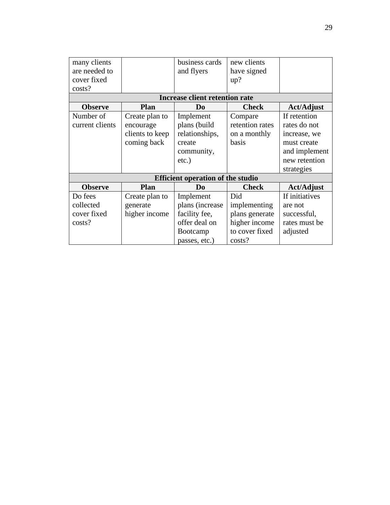| many clients<br>are needed to<br>cover fixed<br>costs? |                                                               | business cards<br>and flyers                                                                 | new clients<br>have signed<br>up?                                                  |                                                                                                             |  |  |  |  |  |  |  |  |
|--------------------------------------------------------|---------------------------------------------------------------|----------------------------------------------------------------------------------------------|------------------------------------------------------------------------------------|-------------------------------------------------------------------------------------------------------------|--|--|--|--|--|--|--|--|
| <b>Increase client retention rate</b>                  |                                                               |                                                                                              |                                                                                    |                                                                                                             |  |  |  |  |  |  |  |  |
| <b>Observe</b>                                         | Plan                                                          | D <sub>0</sub>                                                                               | <b>Check</b>                                                                       | <b>Act/Adjust</b>                                                                                           |  |  |  |  |  |  |  |  |
| Number of<br>current clients                           | Create plan to<br>encourage<br>clients to keep<br>coming back | Implement<br>plans (build<br>relationships,<br>create<br>community,<br>$etc.$ )              | Compare<br>retention rates<br>on a monthly<br>basis                                | If retention<br>rates do not<br>increase, we<br>must create<br>and implement<br>new retention<br>strategies |  |  |  |  |  |  |  |  |
| <b>Efficient operation of the studio</b>               |                                                               |                                                                                              |                                                                                    |                                                                                                             |  |  |  |  |  |  |  |  |
| <b>Observe</b>                                         | <b>Plan</b>                                                   | D <sub>0</sub>                                                                               | <b>Check</b>                                                                       | <b>Act/Adjust</b>                                                                                           |  |  |  |  |  |  |  |  |
| Do fees<br>collected<br>cover fixed<br>costs?          | Create plan to<br>generate<br>higher income                   | Implement<br>plans (increase)<br>facility fee,<br>offer deal on<br>Bootcamp<br>passes, etc.) | Did<br>implementing<br>plans generate<br>higher income<br>to cover fixed<br>costs? | If initiatives<br>are not<br>successful,<br>rates must be<br>adjusted                                       |  |  |  |  |  |  |  |  |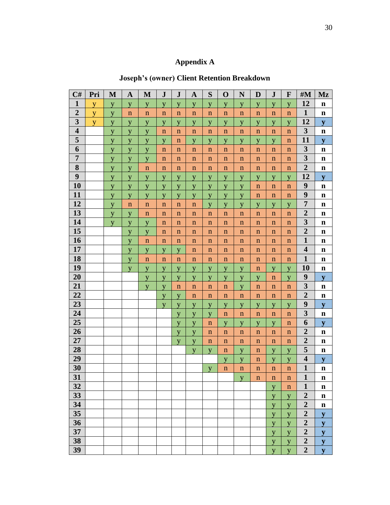## **Appendix A**

## **Joseph's (owner) Client Retention Breakdown**

| C#                      | Pri | M | $\mathbf A$ | M           | ${\bf J}$   | ${\bf J}$   | $\mathbf{A}$ | S           | $\mathbf 0$ | N           | D           | ${\bf J}$   | F           | #M                      | Mz           |
|-------------------------|-----|---|-------------|-------------|-------------|-------------|--------------|-------------|-------------|-------------|-------------|-------------|-------------|-------------------------|--------------|
| $\mathbf{1}$            | y   | y | y           | y           | y           | y           | y            | y           | y           | y           | y           | y           | y           | 12                      | $\mathbf n$  |
| $\overline{2}$          | y   | y | $\mathbf n$ | $\mathbf n$ | $\mathbf n$ | $\mathbf n$ | $\mathbf n$  | $\mathbf n$ | $\mathbf n$ | $\mathbf n$ | $\mathbf n$ | $\mathbf n$ | $\mathbf n$ | $\mathbf{1}$            | $\mathbf n$  |
| 3                       | y   | y | y           | y           | y           | y           | y            | y           | y           | y           | y           | y           | y           | 12                      | ${\bf y}$    |
| $\overline{\mathbf{4}}$ |     | y | y           | y           | $\mathbf n$ | $\mathbf n$ | $\mathbf n$  | $\mathbf n$ | $\mathbf n$ | $\mathbf n$ | $\mathbf n$ | $\mathbf n$ | $\mathbf n$ | $\overline{\mathbf{3}}$ | $\mathbf n$  |
| 5                       |     | y | y           | y           | y           | $\mathbf n$ | y            | y           | y           | y           | y           | y           | $\mathbf n$ | 11                      | $\mathbf{y}$ |
| 6                       |     | y | y           | y           | $\mathbf n$ | $\mathbf n$ | $\mathbf n$  | $\mathbf n$ | $\mathbf n$ | $\mathbf n$ | $\mathbf n$ | $\mathbf n$ | $\mathbf n$ | $\overline{\mathbf{3}}$ | $\mathbf n$  |
| $\overline{7}$          |     | y | y           | y           | $\mathbf n$ | $\mathbf n$ | $\mathbf n$  | $\mathbf n$ | $\mathbf n$ | $\mathbf n$ | $\mathbf n$ | $\mathbf n$ | $\mathbf n$ | $\overline{\mathbf{3}}$ | $\mathbf n$  |
| 8                       |     | y | y           | $\mathbf n$ | $\mathbf n$ | $\mathbf n$ | $\mathbf n$  | $\mathbf n$ | $\mathbf n$ | $\mathbf n$ | $\mathbf n$ | $\mathbf n$ | $\mathbf n$ | $\overline{2}$          | $\mathbf n$  |
| 9                       |     | y | y           | y           | y           | y           | y            | y           | y           | y           | y           | y           | y           | 12                      | ${\bf y}$    |
| 10                      |     | y | y           | y           | y           | y           | y            | y           | y           | y           | $\mathbf n$ | $\mathbf n$ | $\mathbf n$ | $\boldsymbol{9}$        | $\mathbf n$  |
| 11                      |     | y | y           | y           | y           | y           | y            | y           | y           | y           | $\mathbf n$ | $\mathbf n$ | $\mathbf n$ | 9                       | $\mathbf n$  |
| 12                      |     | y | $\mathbf n$ | $\mathbf n$ | $\mathbf n$ | $\mathbf n$ | $\mathbf n$  | y           | y           | y           | y           | y           | y           | $\overline{7}$          | $\mathbf n$  |
| 13                      |     | y | y           | $\mathbf n$ | $\mathbf n$ | $\mathbf n$ | $\mathbf n$  | $\mathbf n$ | $\mathbf n$ | $\mathbf n$ | $\mathbf n$ | $\mathbf n$ | $\mathbf n$ | $\overline{2}$          | $\mathbf n$  |
| 14                      |     | y | y           | y           | $\mathbf n$ | $\mathbf n$ | $\mathbf n$  | $\mathbf n$ | $\mathbf n$ | $\mathbf n$ | $\mathbf n$ | $\mathbf n$ | $\mathbf n$ | $\overline{\mathbf{3}}$ | $\mathbf n$  |
| 15                      |     |   | y           | y           | $\mathbf n$ | $\mathbf n$ | $\mathbf n$  | $\mathbf n$ | $\mathbf n$ | $\mathbf n$ | $\mathbf n$ | $\mathbf n$ | $\mathbf n$ | $\overline{2}$          | $\mathbf n$  |
| 16                      |     |   | y           | $\mathbf n$ | $\mathbf n$ | $\mathbf n$ | $\mathbf n$  | $\mathbf n$ | $\mathbf n$ | $\mathbf n$ | $\mathbf n$ | $\mathbf n$ | $\mathbf n$ | $\mathbf{1}$            | $\mathbf n$  |
| 17                      |     |   | y           | y           | y           | y           | $\mathbf n$  | $\mathbf n$ | $\mathbf n$ | $\mathbf n$ | $\mathbf n$ | $\mathbf n$ | $\mathbf n$ | $\overline{\mathbf{4}}$ | $\mathbf n$  |
| 18                      |     |   | y           | $\mathbf n$ | $\mathbf n$ | $\mathbf n$ | $\mathbf n$  | $\mathbf n$ | $\mathbf n$ | $\mathbf n$ | $\mathbf n$ | $\mathbf n$ | $\mathbf n$ | $\mathbf{1}$            | $\mathbf n$  |
| 19                      |     |   | y           | y           | y           | y           | y            | y           | y           | y           | $\mathbf n$ | y           | y           | 10                      | $\mathbf n$  |
| 20                      |     |   |             | y           | y           | y           | y            | y           | y           | y           | y           | $\mathbf n$ | y           | $\boldsymbol{9}$        | y            |
| 21                      |     |   |             | y           | y           | $\mathbf n$ | $\mathbf n$  | $\mathbf n$ | $\mathbf n$ | y           | $\mathbf n$ | $\mathbf n$ | $\mathbf n$ | $\overline{\mathbf{3}}$ | $\mathbf n$  |
| 22                      |     |   |             |             | y           | y           | $\mathbf n$  | $\mathbf n$ | $\mathbf n$ | $\mathbf n$ | $\mathbf n$ | $\mathbf n$ | $\mathbf n$ | $\overline{2}$          | $\mathbf n$  |
| 23                      |     |   |             |             | y           | y           | y            | y           | y           | y           | y           | y           | y           | 9                       | ${\bf y}$    |
| 24                      |     |   |             |             |             | y           | y            | y           | $\mathbf n$ | $\mathbf n$ | $\mathbf n$ | $\mathbf n$ | $\mathbf n$ | $\overline{\mathbf{3}}$ | $\mathbf n$  |
| 25                      |     |   |             |             |             | y           | y            | $\mathbf n$ | y           | y           | y           | y           | $\mathbf n$ | 6                       | y            |
| 26                      |     |   |             |             |             | y           | y            | $\mathbf n$ | $\mathbf n$ | $\mathbf n$ | $\mathbf n$ | $\mathbf n$ | $\mathbf n$ | $\overline{2}$          | $\mathbf n$  |
| 27                      |     |   |             |             |             | y           | y            | $\mathbf n$ | $\mathbf n$ | $\mathbf n$ | $\mathbf n$ | $\mathbf n$ | $\mathbf n$ | $\overline{2}$          | $\mathbf n$  |
| 28                      |     |   |             |             |             |             | y            | y           | $\mathbf n$ | y           | $\mathbf n$ | y           | y           | 5                       | $\mathbf n$  |
| 29                      |     |   |             |             |             |             |              |             | y           | y           | $\mathbf n$ | y           | y           | $\overline{\mathbf{4}}$ | ${\bf y}$    |
| 30                      |     |   |             |             |             |             |              | y           | $\mathbf n$ | $\mathbf n$ | $\mathbf n$ | $\mathbf n$ | $\mathbf n$ | $\mathbf{1}$            | $\mathbf n$  |
| 31                      |     |   |             |             |             |             |              |             |             | V           | n           | $\mathbf n$ | $\mathbf n$ | 1                       | n            |
| 32                      |     |   |             |             |             |             |              |             |             |             |             | y           | $\mathbf n$ | $\mathbf{1}$            | n            |
| 33                      |     |   |             |             |             |             |              |             |             |             |             | y           | y           | $\boldsymbol{2}$        | $\mathbf n$  |
| 34                      |     |   |             |             |             |             |              |             |             |             |             | y           | y           | $\overline{2}$          | n            |
| 35                      |     |   |             |             |             |             |              |             |             |             |             | y           | y           | $\overline{2}$          | y            |
| 36                      |     |   |             |             |             |             |              |             |             |             |             | y           | y           | $\overline{2}$          | ${\bf y}$    |
| 37                      |     |   |             |             |             |             |              |             |             |             |             | y           | y           | $\overline{2}$          | ${\bf y}$    |
| 38                      |     |   |             |             |             |             |              |             |             |             |             | y           | y           | $\overline{2}$          | ${\bf y}$    |
| 39                      |     |   |             |             |             |             |              |             |             |             |             | y           | y           | $\overline{2}$          | ${\bf y}$    |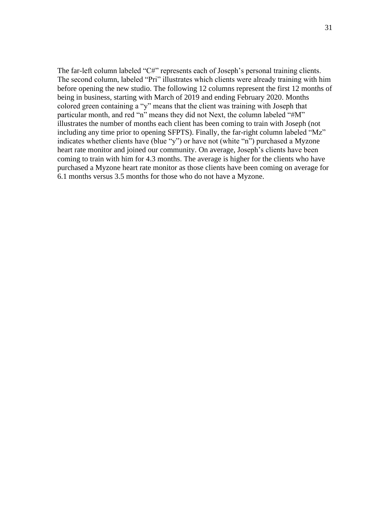The far-left column labeled "C#" represents each of Joseph's personal training clients. The second column, labeled "Pri" illustrates which clients were already training with him before opening the new studio. The following 12 columns represent the first 12 months of being in business, starting with March of 2019 and ending February 2020. Months colored green containing a "y" means that the client was training with Joseph that particular month, and red "n" means they did not Next, the column labeled "#M" illustrates the number of months each client has been coming to train with Joseph (not including any time prior to opening SFPTS). Finally, the far-right column labeled "Mz" indicates whether clients have (blue "y") or have not (white "n") purchased a Myzone heart rate monitor and joined our community. On average, Joseph's clients have been coming to train with him for 4.3 months. The average is higher for the clients who have purchased a Myzone heart rate monitor as those clients have been coming on average for 6.1 months versus 3.5 months for those who do not have a Myzone.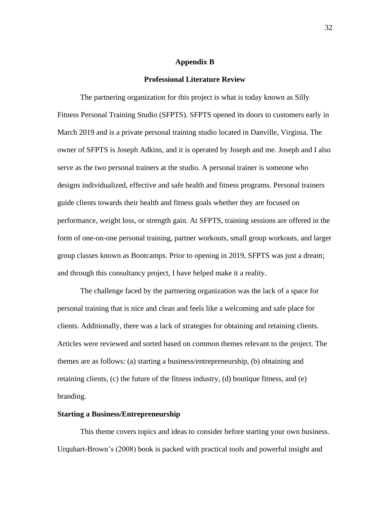#### **Appendix B**

#### **Professional Literature Review**

The partnering organization for this project is what is today known as Silly Fitness Personal Training Studio (SFPTS). SFPTS opened its doors to customers early in March 2019 and is a private personal training studio located in Danville, Virginia. The owner of SFPTS is Joseph Adkins, and it is operated by Joseph and me. Joseph and I also serve as the two personal trainers at the studio. A personal trainer is someone who designs individualized, effective and safe health and fitness programs. Personal trainers guide clients towards their health and fitness goals whether they are focused on performance, weight loss, or strength gain. At SFPTS, training sessions are offered in the form of one-on-one personal training, partner workouts, small group workouts, and larger group classes known as Bootcamps. Prior to opening in 2019, SFPTS was just a dream; and through this consultancy project, I have helped make it a reality.

The challenge faced by the partnering organization was the lack of a space for personal training that is nice and clean and feels like a welcoming and safe place for clients. Additionally, there was a lack of strategies for obtaining and retaining clients. Articles were reviewed and sorted based on common themes relevant to the project. The themes are as follows: (a) starting a business/entrepreneurship, (b) obtaining and retaining clients, (c) the future of the fitness industry, (d) boutique fitness, and (e) branding.

#### **Starting a Business/Entrepreneurship**

This theme covers topics and ideas to consider before starting your own business. Urquhart-Brown's (2008) book is packed with practical tools and powerful insight and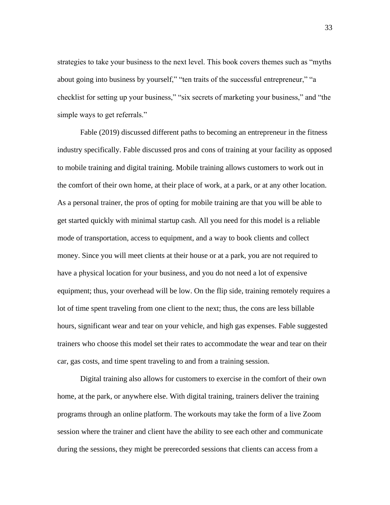strategies to take your business to the next level. This book covers themes such as "myths about going into business by yourself," "ten traits of the successful entrepreneur," "a checklist for setting up your business," "six secrets of marketing your business," and "the simple ways to get referrals."

Fable (2019) discussed different paths to becoming an entrepreneur in the fitness industry specifically. Fable discussed pros and cons of training at your facility as opposed to mobile training and digital training. Mobile training allows customers to work out in the comfort of their own home, at their place of work, at a park, or at any other location. As a personal trainer, the pros of opting for mobile training are that you will be able to get started quickly with minimal startup cash. All you need for this model is a reliable mode of transportation, access to equipment, and a way to book clients and collect money. Since you will meet clients at their house or at a park, you are not required to have a physical location for your business, and you do not need a lot of expensive equipment; thus, your overhead will be low. On the flip side, training remotely requires a lot of time spent traveling from one client to the next; thus, the cons are less billable hours, significant wear and tear on your vehicle, and high gas expenses. Fable suggested trainers who choose this model set their rates to accommodate the wear and tear on their car, gas costs, and time spent traveling to and from a training session.

Digital training also allows for customers to exercise in the comfort of their own home, at the park, or anywhere else. With digital training, trainers deliver the training programs through an online platform. The workouts may take the form of a live Zoom session where the trainer and client have the ability to see each other and communicate during the sessions, they might be prerecorded sessions that clients can access from a

33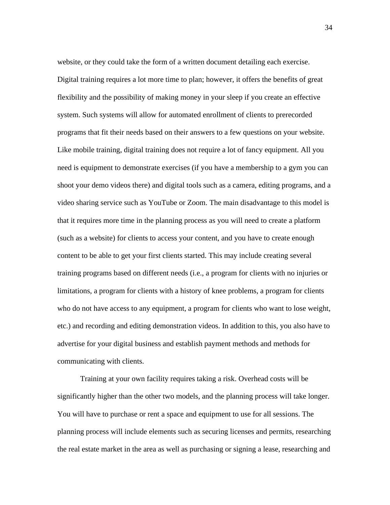website, or they could take the form of a written document detailing each exercise. Digital training requires a lot more time to plan; however, it offers the benefits of great flexibility and the possibility of making money in your sleep if you create an effective system. Such systems will allow for automated enrollment of clients to prerecorded programs that fit their needs based on their answers to a few questions on your website. Like mobile training, digital training does not require a lot of fancy equipment. All you need is equipment to demonstrate exercises (if you have a membership to a gym you can shoot your demo videos there) and digital tools such as a camera, editing programs, and a video sharing service such as YouTube or Zoom. The main disadvantage to this model is that it requires more time in the planning process as you will need to create a platform (such as a website) for clients to access your content, and you have to create enough content to be able to get your first clients started. This may include creating several training programs based on different needs (i.e., a program for clients with no injuries or limitations, a program for clients with a history of knee problems, a program for clients who do not have access to any equipment, a program for clients who want to lose weight, etc.) and recording and editing demonstration videos. In addition to this, you also have to advertise for your digital business and establish payment methods and methods for communicating with clients.

Training at your own facility requires taking a risk. Overhead costs will be significantly higher than the other two models, and the planning process will take longer. You will have to purchase or rent a space and equipment to use for all sessions. The planning process will include elements such as securing licenses and permits, researching the real estate market in the area as well as purchasing or signing a lease, researching and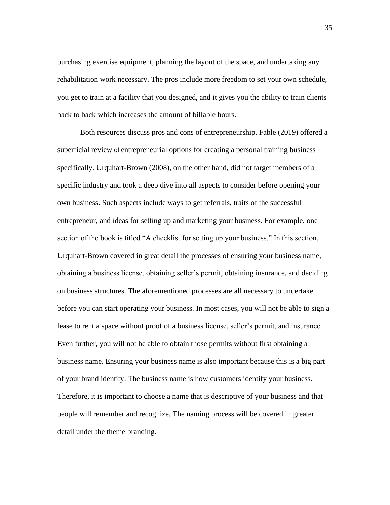purchasing exercise equipment, planning the layout of the space, and undertaking any rehabilitation work necessary. The pros include more freedom to set your own schedule, you get to train at a facility that you designed, and it gives you the ability to train clients back to back which increases the amount of billable hours.

Both resources discuss pros and cons of entrepreneurship. Fable (2019) offered a superficial review of entrepreneurial options for creating a personal training business specifically. Urquhart-Brown (2008), on the other hand, did not target members of a specific industry and took a deep dive into all aspects to consider before opening your own business. Such aspects include ways to get referrals, traits of the successful entrepreneur, and ideas for setting up and marketing your business. For example, one section of the book is titled "A checklist for setting up your business." In this section, Urquhart-Brown covered in great detail the processes of ensuring your business name, obtaining a business license, obtaining seller's permit, obtaining insurance, and deciding on business structures. The aforementioned processes are all necessary to undertake before you can start operating your business. In most cases, you will not be able to sign a lease to rent a space without proof of a business license, seller's permit, and insurance. Even further, you will not be able to obtain those permits without first obtaining a business name. Ensuring your business name is also important because this is a big part of your brand identity. The business name is how customers identify your business. Therefore, it is important to choose a name that is descriptive of your business and that people will remember and recognize. The naming process will be covered in greater detail under the theme branding.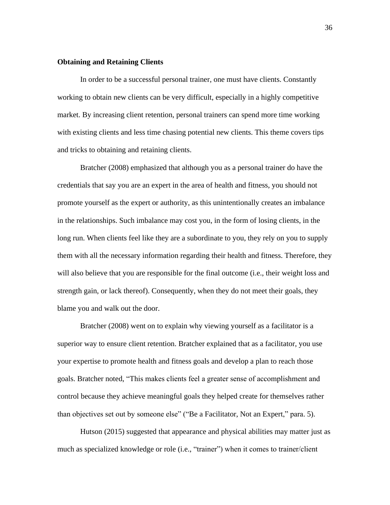#### **Obtaining and Retaining Clients**

In order to be a successful personal trainer, one must have clients. Constantly working to obtain new clients can be very difficult, especially in a highly competitive market. By increasing client retention, personal trainers can spend more time working with existing clients and less time chasing potential new clients. This theme covers tips and tricks to obtaining and retaining clients.

Bratcher (2008) emphasized that although you as a personal trainer do have the credentials that say you are an expert in the area of health and fitness, you should not promote yourself as the expert or authority, as this unintentionally creates an imbalance in the relationships. Such imbalance may cost you, in the form of losing clients, in the long run. When clients feel like they are a subordinate to you, they rely on you to supply them with all the necessary information regarding their health and fitness. Therefore, they will also believe that you are responsible for the final outcome (i.e., their weight loss and strength gain, or lack thereof). Consequently, when they do not meet their goals, they blame you and walk out the door.

Bratcher (2008) went on to explain why viewing yourself as a facilitator is a superior way to ensure client retention. Bratcher explained that as a facilitator, you use your expertise to promote health and fitness goals and develop a plan to reach those goals. Bratcher noted, "This makes clients feel a greater sense of accomplishment and control because they achieve meaningful goals they helped create for themselves rather than objectives set out by someone else" ("Be a Facilitator, Not an Expert," para. 5).

Hutson (2015) suggested that appearance and physical abilities may matter just as much as specialized knowledge or role (i.e., "trainer") when it comes to trainer/client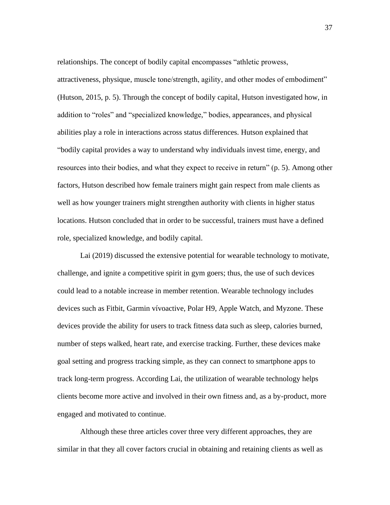relationships. The concept of bodily capital encompasses "athletic prowess, attractiveness, physique, muscle tone/strength, agility, and other modes of embodiment" (Hutson, 2015, p. 5). Through the concept of bodily capital, Hutson investigated how, in addition to "roles" and "specialized knowledge," bodies, appearances, and physical abilities play a role in interactions across status differences. Hutson explained that "bodily capital provides a way to understand why individuals invest time, energy, and resources into their bodies, and what they expect to receive in return" (p. 5). Among other factors, Hutson described how female trainers might gain respect from male clients as well as how younger trainers might strengthen authority with clients in higher status locations. Hutson concluded that in order to be successful, trainers must have a defined role, specialized knowledge, and bodily capital.

Lai (2019) discussed the extensive potential for wearable technology to motivate, challenge, and ignite a competitive spirit in gym goers; thus, the use of such devices could lead to a notable increase in member retention. Wearable technology includes devices such as Fitbit, Garmin vívoactive, Polar H9, Apple Watch, and Myzone. These devices provide the ability for users to track fitness data such as sleep, calories burned, number of steps walked, heart rate, and exercise tracking. Further, these devices make goal setting and progress tracking simple, as they can connect to smartphone apps to track long-term progress. According Lai, the utilization of wearable technology helps clients become more active and involved in their own fitness and, as a by-product, more engaged and motivated to continue.

Although these three articles cover three very different approaches, they are similar in that they all cover factors crucial in obtaining and retaining clients as well as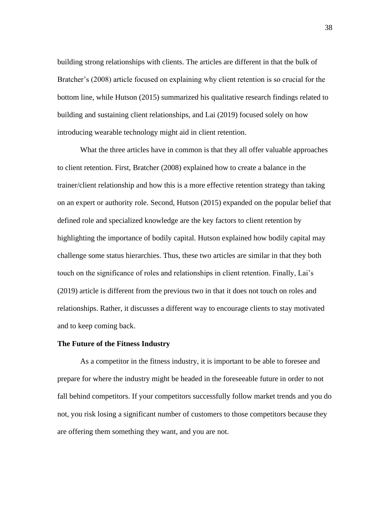building strong relationships with clients. The articles are different in that the bulk of Bratcher's (2008) article focused on explaining why client retention is so crucial for the bottom line, while Hutson (2015) summarized his qualitative research findings related to building and sustaining client relationships, and Lai (2019) focused solely on how introducing wearable technology might aid in client retention.

What the three articles have in common is that they all offer valuable approaches to client retention. First, Bratcher (2008) explained how to create a balance in the trainer/client relationship and how this is a more effective retention strategy than taking on an expert or authority role. Second, Hutson (2015) expanded on the popular belief that defined role and specialized knowledge are the key factors to client retention by highlighting the importance of bodily capital. Hutson explained how bodily capital may challenge some status hierarchies. Thus, these two articles are similar in that they both touch on the significance of roles and relationships in client retention. Finally, Lai's (2019) article is different from the previous two in that it does not touch on roles and relationships. Rather, it discusses a different way to encourage clients to stay motivated and to keep coming back.

#### **The Future of the Fitness Industry**

As a competitor in the fitness industry, it is important to be able to foresee and prepare for where the industry might be headed in the foreseeable future in order to not fall behind competitors. If your competitors successfully follow market trends and you do not, you risk losing a significant number of customers to those competitors because they are offering them something they want, and you are not.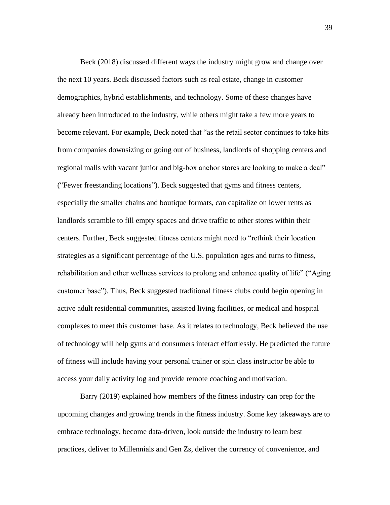Beck (2018) discussed different ways the industry might grow and change over the next 10 years. Beck discussed factors such as real estate, change in customer demographics, hybrid establishments, and technology. Some of these changes have already been introduced to the industry, while others might take a few more years to become relevant. For example, Beck noted that "as the retail sector continues to take hits from companies downsizing or going out of business, landlords of shopping centers and regional malls with vacant junior and big-box anchor stores are looking to make a deal" ("Fewer freestanding locations"). Beck suggested that gyms and fitness centers, especially the smaller chains and boutique formats, can capitalize on lower rents as landlords scramble to fill empty spaces and drive traffic to other stores within their centers. Further, Beck suggested fitness centers might need to "rethink their location strategies as a significant percentage of the U.S. population ages and turns to fitness, rehabilitation and other wellness services to prolong and enhance quality of life" ("Aging customer base"). Thus, Beck suggested traditional fitness clubs could begin opening in active adult residential communities, assisted living facilities, or medical and hospital complexes to meet this customer base. As it relates to technology, Beck believed the use of technology will help gyms and consumers interact effortlessly. He predicted the future of fitness will include having your personal trainer or spin class instructor be able to access your daily activity log and provide remote coaching and motivation.

Barry (2019) explained how members of the fitness industry can prep for the upcoming changes and growing trends in the fitness industry. Some key takeaways are to embrace technology, become data-driven, look outside the industry to learn best practices, deliver to Millennials and Gen Zs, deliver the currency of convenience, and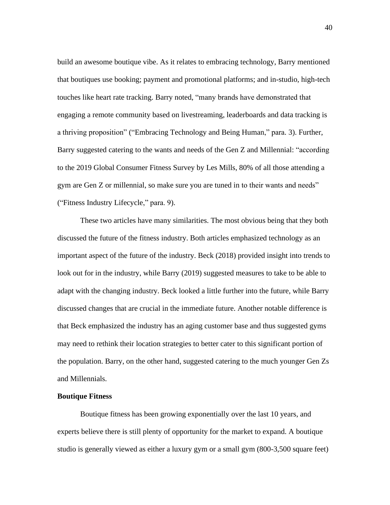build an awesome boutique vibe. As it relates to embracing technology, Barry mentioned that boutiques use booking; payment and promotional platforms; and in-studio, high-tech touches like heart rate tracking. Barry noted, "many brands have demonstrated that engaging a remote community based on livestreaming, leaderboards and data tracking is a thriving proposition" ("Embracing Technology and Being Human," para. 3). Further, Barry suggested catering to the wants and needs of the Gen Z and Millennial: "according to the 2019 Global Consumer Fitness Survey by Les Mills, 80% of all those attending a gym are Gen Z or millennial, so make sure you are tuned in to their wants and needs" ("Fitness Industry Lifecycle," para. 9).

These two articles have many similarities. The most obvious being that they both discussed the future of the fitness industry. Both articles emphasized technology as an important aspect of the future of the industry. Beck (2018) provided insight into trends to look out for in the industry, while Barry (2019) suggested measures to take to be able to adapt with the changing industry. Beck looked a little further into the future, while Barry discussed changes that are crucial in the immediate future. Another notable difference is that Beck emphasized the industry has an aging customer base and thus suggested gyms may need to rethink their location strategies to better cater to this significant portion of the population. Barry, on the other hand, suggested catering to the much younger Gen Zs and Millennials.

#### **Boutique Fitness**

Boutique fitness has been growing exponentially over the last 10 years, and experts believe there is still plenty of opportunity for the market to expand. A boutique studio is generally viewed as either a luxury gym or a small gym (800-3,500 square feet)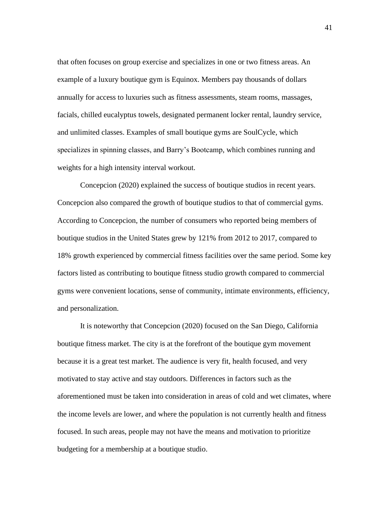that often focuses on group exercise and specializes in one or two fitness areas. An example of a luxury boutique gym is Equinox. Members pay thousands of dollars annually for access to luxuries such as fitness assessments, steam rooms, massages, facials, chilled eucalyptus towels, designated permanent locker rental, laundry service, and unlimited classes. Examples of small boutique gyms are SoulCycle, which specializes in spinning classes, and Barry's Bootcamp, which combines running and weights for a high intensity interval workout.

Concepcion (2020) explained the success of boutique studios in recent years. Concepcion also compared the growth of boutique studios to that of commercial gyms. According to Concepcion, the number of consumers who reported being members of boutique studios in the United States grew by 121% from 2012 to 2017, compared to 18% growth experienced by commercial fitness facilities over the same period. Some key factors listed as contributing to boutique fitness studio growth compared to commercial gyms were convenient locations, sense of community, intimate environments, efficiency, and personalization.

It is noteworthy that Concepcion (2020) focused on the San Diego, California boutique fitness market. The city is at the forefront of the boutique gym movement because it is a great test market. The audience is very fit, health focused, and very motivated to stay active and stay outdoors. Differences in factors such as the aforementioned must be taken into consideration in areas of cold and wet climates, where the income levels are lower, and where the population is not currently health and fitness focused. In such areas, people may not have the means and motivation to prioritize budgeting for a membership at a boutique studio.

41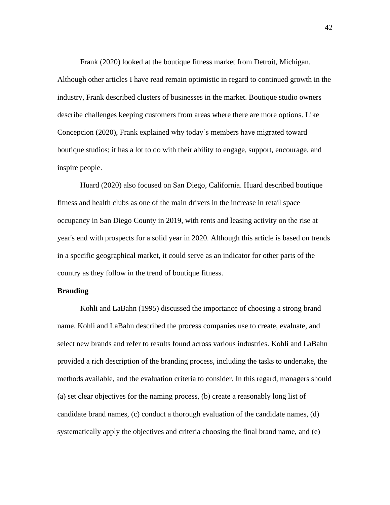Frank (2020) looked at the boutique fitness market from Detroit, Michigan. Although other articles I have read remain optimistic in regard to continued growth in the industry, Frank described clusters of businesses in the market. Boutique studio owners describe challenges keeping customers from areas where there are more options. Like Concepcion (2020), Frank explained why today's members have migrated toward boutique studios; it has a lot to do with their ability to engage, support, encourage, and inspire people.

Huard (2020) also focused on San Diego, California. Huard described boutique fitness and health clubs as one of the main drivers in the increase in retail space occupancy in San Diego County in 2019, with rents and leasing activity on the rise at year's end with prospects for a solid year in 2020. Although this article is based on trends in a specific geographical market, it could serve as an indicator for other parts of the country as they follow in the trend of boutique fitness.

#### **Branding**

Kohli and LaBahn (1995) discussed the importance of choosing a strong brand name. Kohli and LaBahn described the process companies use to create, evaluate, and select new brands and refer to results found across various industries. Kohli and LaBahn provided a rich description of the branding process, including the tasks to undertake, the methods available, and the evaluation criteria to consider. In this regard, managers should (a) set clear objectives for the naming process, (b) create a reasonably long list of candidate brand names, (c) conduct a thorough evaluation of the candidate names, (d) systematically apply the objectives and criteria choosing the final brand name, and (e)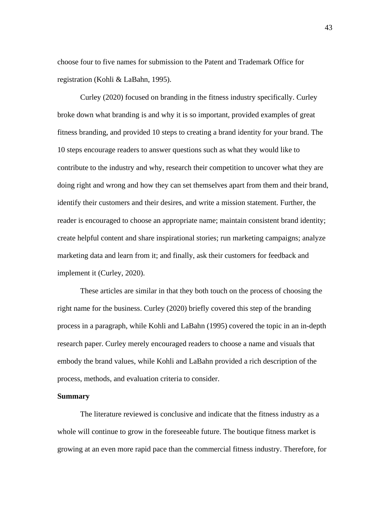choose four to five names for submission to the Patent and Trademark Office for registration (Kohli & LaBahn, 1995).

Curley (2020) focused on branding in the fitness industry specifically. Curley broke down what branding is and why it is so important, provided examples of great fitness branding, and provided 10 steps to creating a brand identity for your brand. The 10 steps encourage readers to answer questions such as what they would like to contribute to the industry and why, research their competition to uncover what they are doing right and wrong and how they can set themselves apart from them and their brand, identify their customers and their desires, and write a mission statement. Further, the reader is encouraged to choose an appropriate name; maintain consistent brand identity; create helpful content and share inspirational stories; run marketing campaigns; analyze marketing data and learn from it; and finally, ask their customers for feedback and implement it (Curley, 2020).

These articles are similar in that they both touch on the process of choosing the right name for the business. Curley (2020) briefly covered this step of the branding process in a paragraph, while Kohli and LaBahn (1995) covered the topic in an in-depth research paper. Curley merely encouraged readers to choose a name and visuals that embody the brand values, while Kohli and LaBahn provided a rich description of the process, methods, and evaluation criteria to consider.

#### **Summary**

The literature reviewed is conclusive and indicate that the fitness industry as a whole will continue to grow in the foreseeable future. The boutique fitness market is growing at an even more rapid pace than the commercial fitness industry. Therefore, for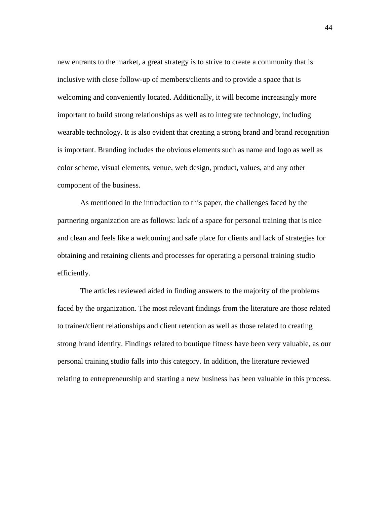new entrants to the market, a great strategy is to strive to create a community that is inclusive with close follow-up of members/clients and to provide a space that is welcoming and conveniently located. Additionally, it will become increasingly more important to build strong relationships as well as to integrate technology, including wearable technology. It is also evident that creating a strong brand and brand recognition is important. Branding includes the obvious elements such as name and logo as well as color scheme, visual elements, venue, web design, product, values, and any other component of the business.

As mentioned in the introduction to this paper, the challenges faced by the partnering organization are as follows: lack of a space for personal training that is nice and clean and feels like a welcoming and safe place for clients and lack of strategies for obtaining and retaining clients and processes for operating a personal training studio efficiently.

The articles reviewed aided in finding answers to the majority of the problems faced by the organization. The most relevant findings from the literature are those related to trainer/client relationships and client retention as well as those related to creating strong brand identity. Findings related to boutique fitness have been very valuable, as our personal training studio falls into this category. In addition, the literature reviewed relating to entrepreneurship and starting a new business has been valuable in this process.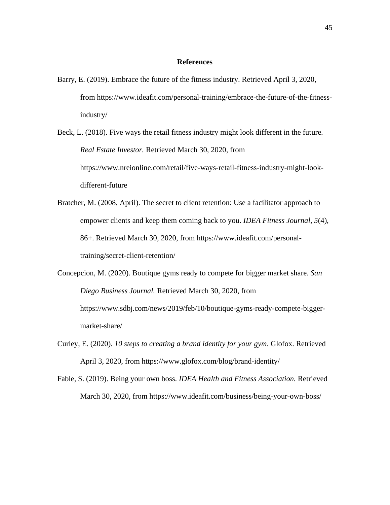#### **References**

- Barry, E. (2019). Embrace the future of the fitness industry. Retrieved April 3, 2020, from https://www.ideafit.com/personal-training/embrace-the-future-of-the-fitnessindustry/
- Beck, L. (2018). Five ways the retail fitness industry might look different in the future. *Real Estate Investor.* Retrieved March 30, 2020, from https://www.nreionline.com/retail/five-ways-retail-fitness-industry-might-lookdifferent-future
- Bratcher, M. (2008, April). The secret to client retention: Use a facilitator approach to empower clients and keep them coming back to you. *IDEA Fitness Journal, 5*(4), 86+. Retrieved March 30, 2020, from https://www.ideafit.com/personaltraining/secret-client-retention/
- Concepcion, M. (2020). Boutique gyms ready to compete for bigger market share. *San Diego Business Journal.* Retrieved March 30, 2020, from https://www.sdbj.com/news/2019/feb/10/boutique-gyms-ready-compete-biggermarket-share/
- Curley, E. (2020). *10 steps to creating a brand identity for your gym*. Glofox. Retrieved April 3, 2020, from https://www.glofox.com/blog/brand-identity/
- Fable, S. (2019). Being your own boss. *IDEA Health and Fitness Association.* Retrieved March 30, 2020, from https://www.ideafit.com/business/being-your-own-boss/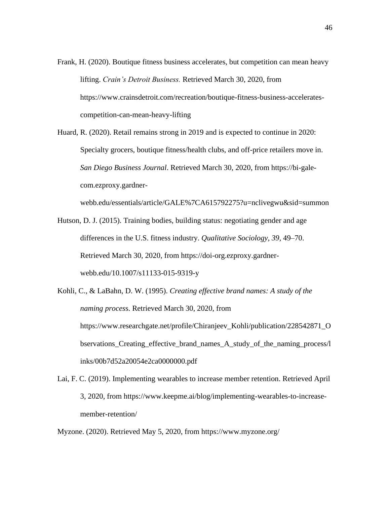- Frank, H. (2020). Boutique fitness business accelerates, but competition can mean heavy lifting. *Crain's Detroit Business.* Retrieved March 30, 2020, from https://www.crainsdetroit.com/recreation/boutique-fitness-business-acceleratescompetition-can-mean-heavy-lifting
- Huard, R. (2020). Retail remains strong in 2019 and is expected to continue in 2020: Specialty grocers, boutique fitness/health clubs, and off-price retailers move in. *San Diego Business Journal*. Retrieved March 30, 2020, from https://bi-galecom.ezproxy.gardner-

webb.edu/essentials/article/GALE%7CA615792275?u=nclivegwu&sid=summon

- Hutson, D. J. (2015). Training bodies, building status: negotiating gender and age differences in the U.S. fitness industry. *Qualitative Sociology, 39,* 49–70. Retrieved March 30, 2020, from https://doi-org.ezproxy.gardnerwebb.edu/10.1007/s11133-015-9319-y
- Kohli, C., & LaBahn, D. W. (1995). *Creating effective brand names: A study of the naming proces*s. Retrieved March 30, 2020, from https://www.researchgate.net/profile/Chiranjeev\_Kohli/publication/228542871\_O bservations\_Creating\_effective\_brand\_names\_A\_study\_of\_the\_naming\_process/l inks/00b7d52a20054e2ca0000000.pdf
- Lai, F. C. (2019). Implementing wearables to increase member retention. Retrieved April 3, 2020, from https://www.keepme.ai/blog/implementing-wearables-to-increasemember-retention/
- Myzone. (2020). Retrieved May 5, 2020, from https://www.myzone.org/